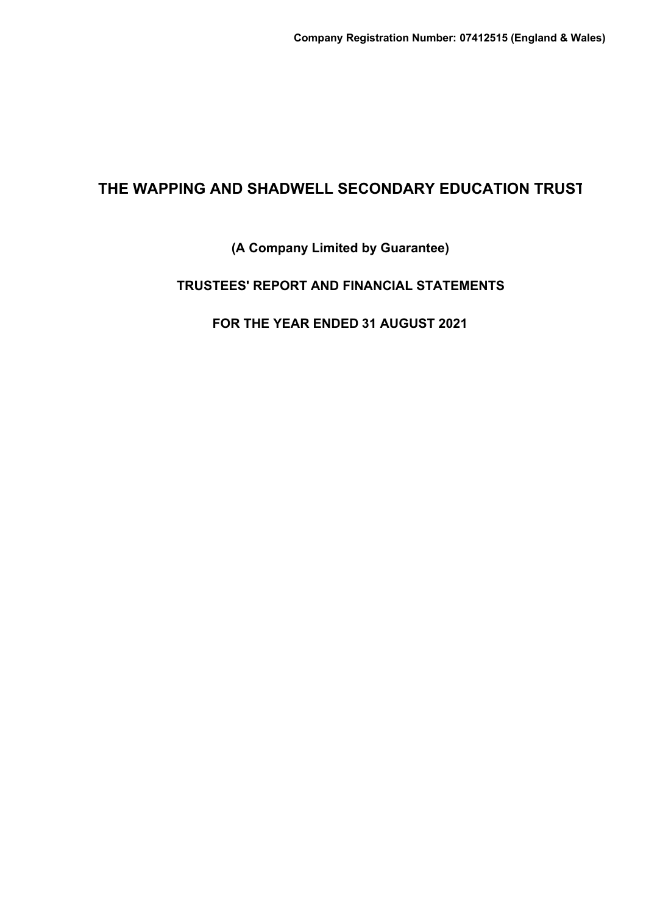## **(A Company Limited by Guarantee)**

## **TRUSTEES' REPORT AND FINANCIAL STATEMENTS**

## **FOR THE YEAR ENDED 31 AUGUST 2021**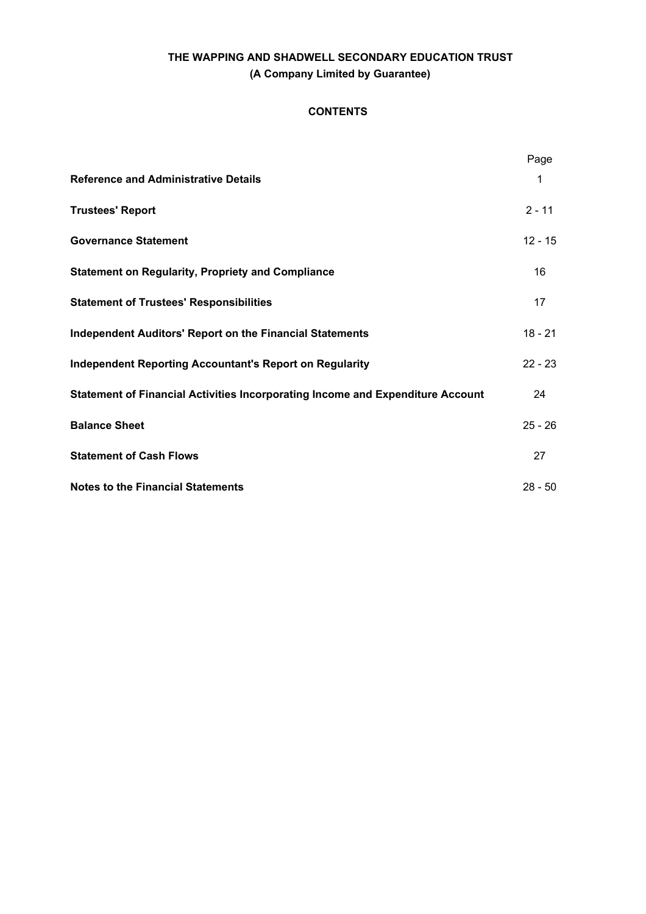## **CONTENTS**

|                                                                                | Page      |
|--------------------------------------------------------------------------------|-----------|
| <b>Reference and Administrative Details</b>                                    | 1         |
| <b>Trustees' Report</b>                                                        | $2 - 11$  |
| <b>Governance Statement</b>                                                    | $12 - 15$ |
| <b>Statement on Regularity, Propriety and Compliance</b>                       | 16        |
| <b>Statement of Trustees' Responsibilities</b>                                 | 17        |
| <b>Independent Auditors' Report on the Financial Statements</b>                | $18 - 21$ |
| <b>Independent Reporting Accountant's Report on Regularity</b>                 | $22 - 23$ |
| Statement of Financial Activities Incorporating Income and Expenditure Account | 24        |
| <b>Balance Sheet</b>                                                           | $25 - 26$ |
| <b>Statement of Cash Flows</b>                                                 | 27        |
| <b>Notes to the Financial Statements</b>                                       | $28 - 50$ |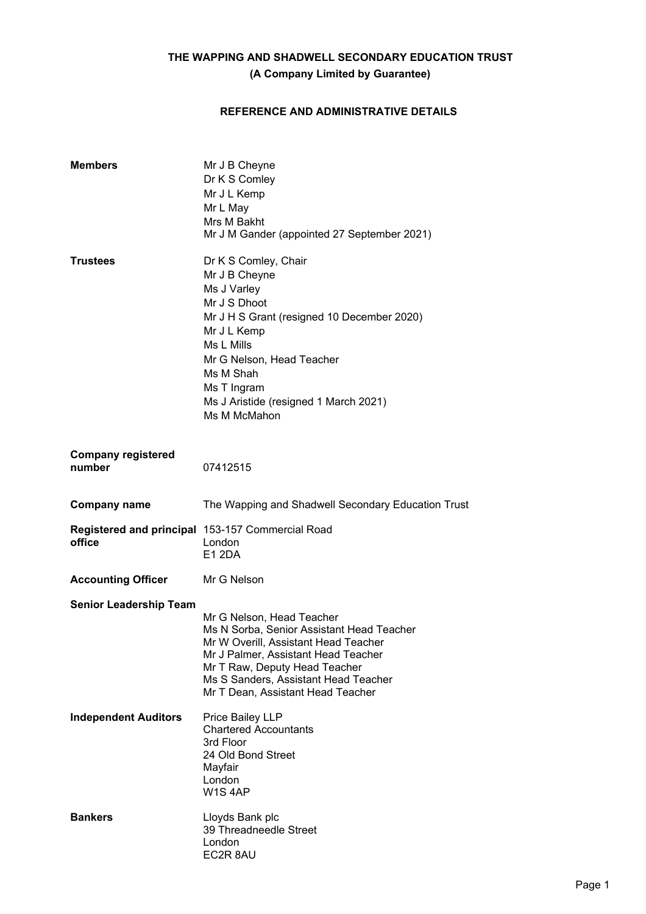## **REFERENCE AND ADMINISTRATIVE DETAILS**

| <b>Members</b>                      | Mr J B Cheyne<br>Dr K S Comley<br>Mr J L Kemp<br>Mr L May<br>Mrs M Bakht<br>Mr J M Gander (appointed 27 September 2021)                                                                                                                                             |
|-------------------------------------|---------------------------------------------------------------------------------------------------------------------------------------------------------------------------------------------------------------------------------------------------------------------|
| <b>Trustees</b>                     | Dr K S Comley, Chair<br>Mr J B Cheyne<br>Ms J Varley<br>Mr J S Dhoot<br>Mr J H S Grant (resigned 10 December 2020)<br>Mr J L Kemp<br>Ms L Mills<br>Mr G Nelson, Head Teacher<br>Ms M Shah<br>Ms T Ingram<br>Ms J Aristide (resigned 1 March 2021)<br>Ms M McMahon   |
| <b>Company registered</b><br>number | 07412515                                                                                                                                                                                                                                                            |
| <b>Company name</b>                 | The Wapping and Shadwell Secondary Education Trust                                                                                                                                                                                                                  |
| office                              | Registered and principal 153-157 Commercial Road<br>London<br><b>E12DA</b>                                                                                                                                                                                          |
| <b>Accounting Officer</b>           | Mr G Nelson                                                                                                                                                                                                                                                         |
| <b>Senior Leadership Team</b>       | Mr G Nelson, Head Teacher<br>Ms N Sorba, Senior Assistant Head Teacher<br>Mr W Overill, Assistant Head Teacher<br>Mr J Palmer, Assistant Head Teacher<br>Mr T Raw, Deputy Head Teacher<br>Ms S Sanders, Assistant Head Teacher<br>Mr T Dean, Assistant Head Teacher |
| <b>Independent Auditors</b>         | Price Bailey LLP<br><b>Chartered Accountants</b><br>3rd Floor<br>24 Old Bond Street<br>Mayfair<br>London<br>W1S4AP                                                                                                                                                  |
| <b>Bankers</b>                      | Lloyds Bank plc<br>39 Threadneedle Street<br>London<br>EC2R 8AU                                                                                                                                                                                                     |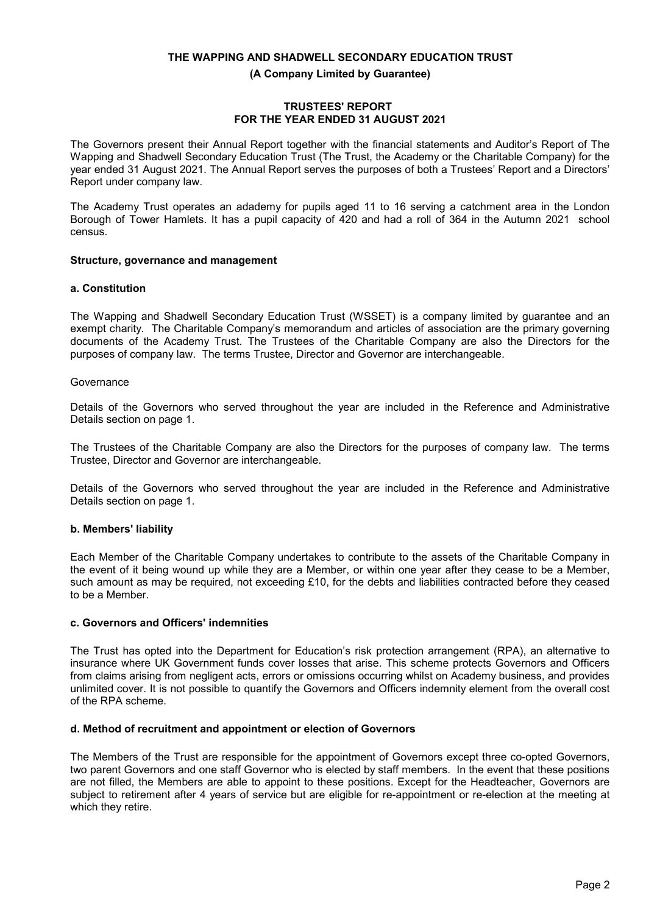**(A Company Limited by Guarantee)**

#### **TRUSTEES' REPORT FOR THE YEAR ENDED 31 AUGUST 2021**

The Governors present their Annual Report together with the financial statements and Auditor's Report of The Wapping and Shadwell Secondary Education Trust (The Trust, the Academy or the Charitable Company) for the year ended 31 August 2021. The Annual Report serves the purposes of both a Trustees' Report and a Directors' Report under company law.

The Academy Trust operates an adademy for pupils aged 11 to 16 serving a catchment area in the London Borough of Tower Hamlets. It has a pupil capacity of 420 and had a roll of 364 in the Autumn 2021 school census.

#### **Structure, governance and management**

#### **a. Constitution**

The Wapping and Shadwell Secondary Education Trust (WSSET) is a company limited by guarantee and an exempt charity. The Charitable Company's memorandum and articles of association are the primary governing documents of the Academy Trust. The Trustees of the Charitable Company are also the Directors for the purposes of company law. The terms Trustee, Director and Governor are interchangeable.

#### **Governance**

Details of the Governors who served throughout the year are included in the Reference and Administrative Details section on page 1.

The Trustees of the Charitable Company are also the Directors for the purposes of company law. The terms Trustee, Director and Governor are interchangeable.

Details of the Governors who served throughout the year are included in the Reference and Administrative Details section on page 1.

#### **b. Members' liability**

Each Member of the Charitable Company undertakes to contribute to the assets of the Charitable Company in the event of it being wound up while they are a Member, or within one year after they cease to be a Member, such amount as may be required, not exceeding £10, for the debts and liabilities contracted before they ceased to be a Member.

### **c. Governors and Officers' indemnities**

The Trust has opted into the Department for Education's risk protection arrangement (RPA), an alternative to insurance where UK Government funds cover losses that arise. This scheme protects Governors and Officers from claims arising from negligent acts, errors or omissions occurring whilst on Academy business, and provides unlimited cover. It is not possible to quantify the Governors and Officers indemnity element from the overall cost of the RPA scheme.

#### **d. Method of recruitment and appointment or election of Governors**

The Members of the Trust are responsible for the appointment of Governors except three co-opted Governors, two parent Governors and one staff Governor who is elected by staff members. In the event that these positions are not filled, the Members are able to appoint to these positions. Except for the Headteacher, Governors are subject to retirement after 4 years of service but are eligible for re-appointment or re-election at the meeting at which they retire.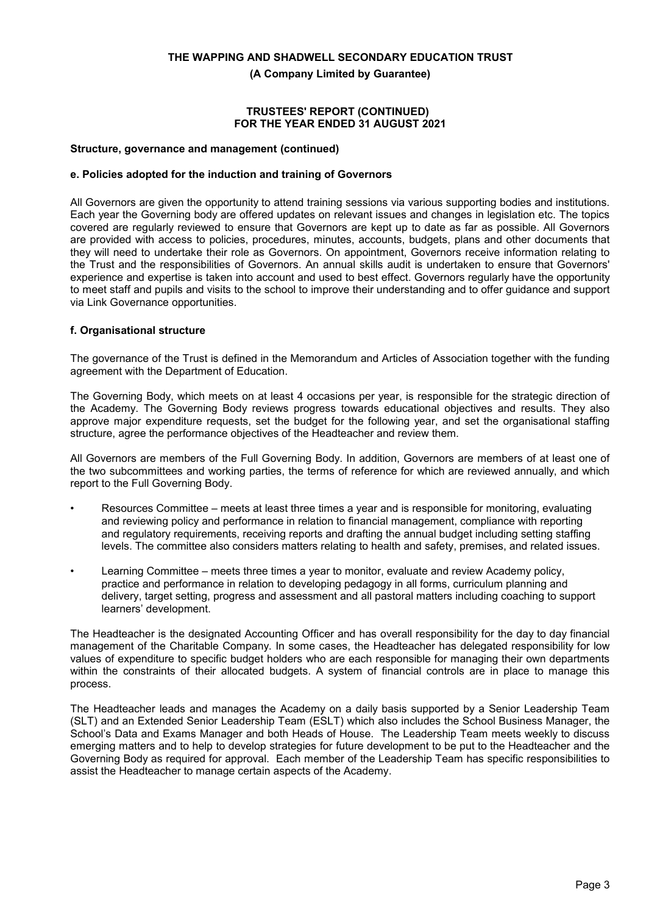**(A Company Limited by Guarantee)**

#### **TRUSTEES' REPORT (CONTINUED) FOR THE YEAR ENDED 31 AUGUST 2021**

#### **Structure, governance and management (continued)**

#### **e. Policies adopted for the induction and training of Governors**

All Governors are given the opportunity to attend training sessions via various supporting bodies and institutions. Each year the Governing body are offered updates on relevant issues and changes in legislation etc. The topics covered are regularly reviewed to ensure that Governors are kept up to date as far as possible. All Governors are provided with access to policies, procedures, minutes, accounts, budgets, plans and other documents that they will need to undertake their role as Governors. On appointment, Governors receive information relating to the Trust and the responsibilities of Governors. An annual skills audit is undertaken to ensure that Governors' experience and expertise is taken into account and used to best effect. Governors regularly have the opportunity to meet staff and pupils and visits to the school to improve their understanding and to offer guidance and support via Link Governance opportunities.

#### **f. Organisational structure**

The governance of the Trust is defined in the Memorandum and Articles of Association together with the funding agreement with the Department of Education.

The Governing Body, which meets on at least 4 occasions per year, is responsible for the strategic direction of the Academy. The Governing Body reviews progress towards educational objectives and results. They also approve major expenditure requests, set the budget for the following year, and set the organisational staffing structure, agree the performance objectives of the Headteacher and review them.

All Governors are members of the Full Governing Body. In addition, Governors are members of at least one of the two subcommittees and working parties, the terms of reference for which are reviewed annually, and which report to the Full Governing Body.

- Resources Committee meets at least three times a year and is responsible for monitoring, evaluating and reviewing policy and performance in relation to financial management, compliance with reporting and regulatory requirements, receiving reports and drafting the annual budget including setting staffing levels. The committee also considers matters relating to health and safety, premises, and related issues.
- Learning Committee meets three times a year to monitor, evaluate and review Academy policy, practice and performance in relation to developing pedagogy in all forms, curriculum planning and delivery, target setting, progress and assessment and all pastoral matters including coaching to support learners' development.

The Headteacher is the designated Accounting Officer and has overall responsibility for the day to day financial management of the Charitable Company. In some cases, the Headteacher has delegated responsibility for low values of expenditure to specific budget holders who are each responsible for managing their own departments within the constraints of their allocated budgets. A system of financial controls are in place to manage this process.

The Headteacher leads and manages the Academy on a daily basis supported by a Senior Leadership Team (SLT) and an Extended Senior Leadership Team (ESLT) which also includes the School Business Manager, the School's Data and Exams Manager and both Heads of House. The Leadership Team meets weekly to discuss emerging matters and to help to develop strategies for future development to be put to the Headteacher and the Governing Body as required for approval. Each member of the Leadership Team has specific responsibilities to assist the Headteacher to manage certain aspects of the Academy.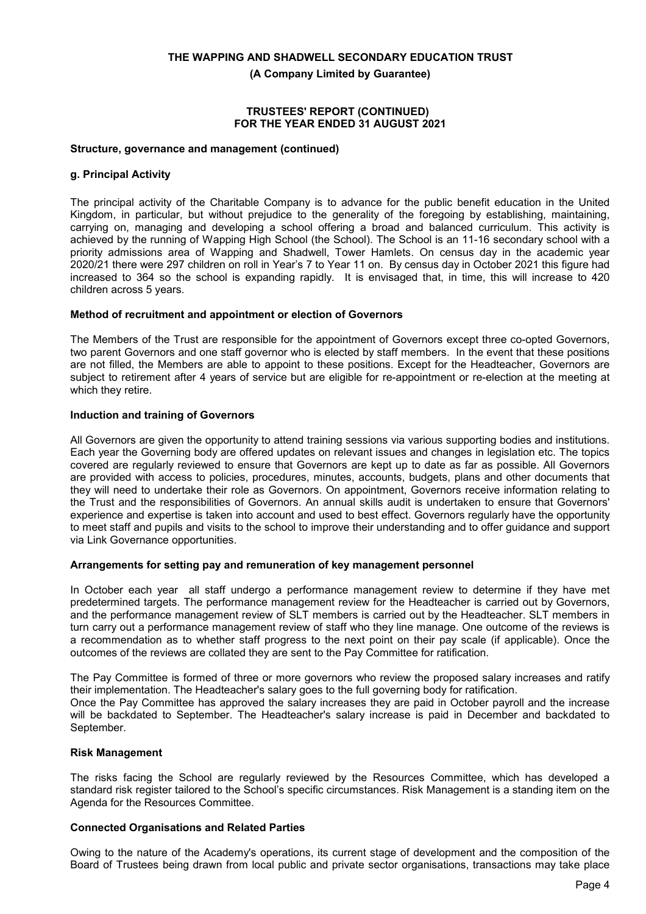**(A Company Limited by Guarantee)**

#### **TRUSTEES' REPORT (CONTINUED) FOR THE YEAR ENDED 31 AUGUST 2021**

#### **Structure, governance and management (continued)**

### **g. Principal Activity**

The principal activity of the Charitable Company is to advance for the public benefit education in the United Kingdom, in particular, but without prejudice to the generality of the foregoing by establishing, maintaining, carrying on, managing and developing a school offering a broad and balanced curriculum. This activity is achieved by the running of Wapping High School (the School). The School is an 11-16 secondary school with a priority admissions area of Wapping and Shadwell, Tower Hamlets. On census day in the academic year 2020/21 there were 297 children on roll in Year's 7 to Year 11 on. By census day in October 2021 this figure had increased to 364 so the school is expanding rapidly. It is envisaged that, in time, this will increase to 420 children across 5 years.

#### **Method of recruitment and appointment or election of Governors**

The Members of the Trust are responsible for the appointment of Governors except three co-opted Governors, two parent Governors and one staff governor who is elected by staff members. In the event that these positions are not filled, the Members are able to appoint to these positions. Except for the Headteacher, Governors are subject to retirement after 4 years of service but are eligible for re-appointment or re-election at the meeting at which they retire.

#### **Induction and training of Governors**

All Governors are given the opportunity to attend training sessions via various supporting bodies and institutions. Each year the Governing body are offered updates on relevant issues and changes in legislation etc. The topics covered are regularly reviewed to ensure that Governors are kept up to date as far as possible. All Governors are provided with access to policies, procedures, minutes, accounts, budgets, plans and other documents that they will need to undertake their role as Governors. On appointment, Governors receive information relating to the Trust and the responsibilities of Governors. An annual skills audit is undertaken to ensure that Governors' experience and expertise is taken into account and used to best effect. Governors regularly have the opportunity to meet staff and pupils and visits to the school to improve their understanding and to offer guidance and support via Link Governance opportunities.

## **Arrangements for setting pay and remuneration of key management personnel**

In October each year all staff undergo a performance management review to determine if they have met predetermined targets. The performance management review for the Headteacher is carried out by Governors, and the performance management review of SLT members is carried out by the Headteacher. SLT members in turn carry out a performance management review of staff who they line manage. One outcome of the reviews is a recommendation as to whether staff progress to the next point on their pay scale (if applicable). Once the outcomes of the reviews are collated they are sent to the Pay Committee for ratification.

The Pay Committee is formed of three or more governors who review the proposed salary increases and ratify their implementation. The Headteacher's salary goes to the full governing body for ratification. Once the Pay Committee has approved the salary increases they are paid in October payroll and the increase

will be backdated to September. The Headteacher's salary increase is paid in December and backdated to September.

#### **Risk Management**

The risks facing the School are regularly reviewed by the Resources Committee, which has developed a standard risk register tailored to the School's specific circumstances. Risk Management is a standing item on the Agenda for the Resources Committee.

#### **Connected Organisations and Related Parties**

Owing to the nature of the Academy's operations, its current stage of development and the composition of the Board of Trustees being drawn from local public and private sector organisations, transactions may take place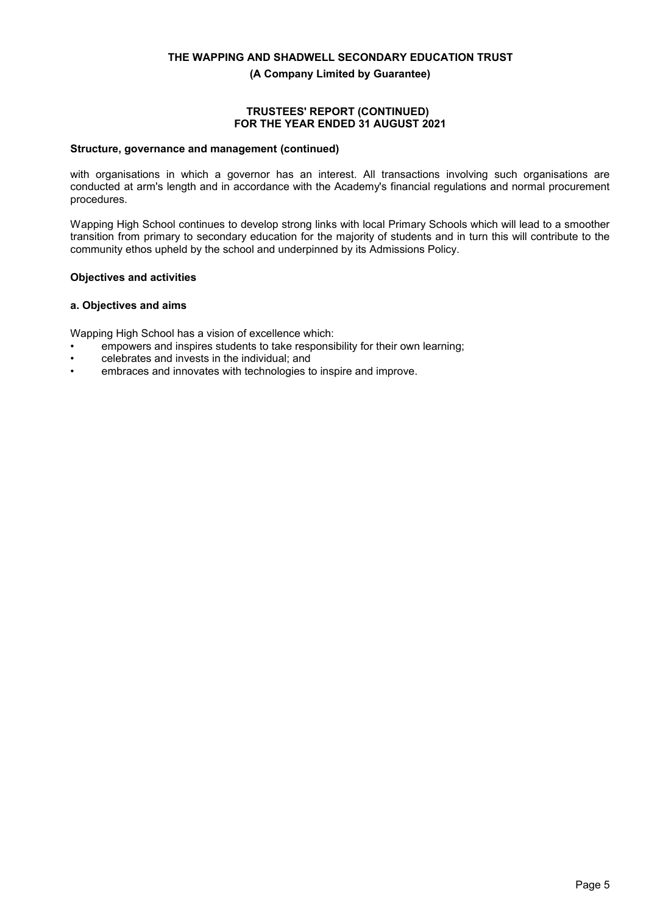**(A Company Limited by Guarantee)**

#### **TRUSTEES' REPORT (CONTINUED) FOR THE YEAR ENDED 31 AUGUST 2021**

#### **Structure, governance and management (continued)**

with organisations in which a governor has an interest. All transactions involving such organisations are conducted at arm's length and in accordance with the Academy's financial regulations and normal procurement procedures.

Wapping High School continues to develop strong links with local Primary Schools which will lead to a smoother transition from primary to secondary education for the majority of students and in turn this will contribute to the community ethos upheld by the school and underpinned by its Admissions Policy.

#### **Objectives and activities**

#### **a. Objectives and aims**

Wapping High School has a vision of excellence which:

- empowers and inspires students to take responsibility for their own learning;
- celebrates and invests in the individual; and
- embraces and innovates with technologies to inspire and improve.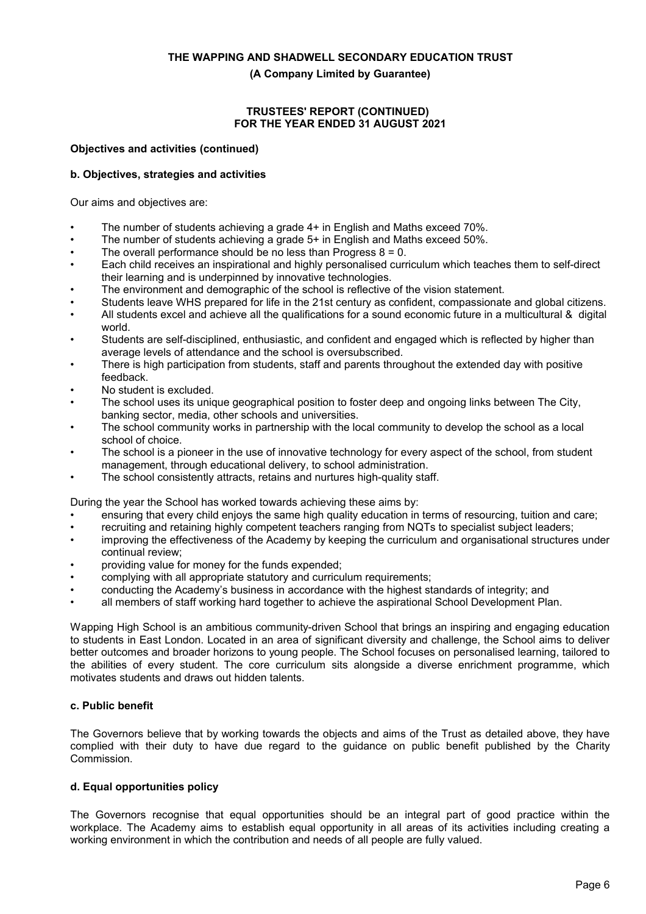**(A Company Limited by Guarantee)**

#### **TRUSTEES' REPORT (CONTINUED) FOR THE YEAR ENDED 31 AUGUST 2021**

#### **Objectives and activities (continued)**

### **b. Objectives, strategies and activities**

Our aims and objectives are:

- The number of students achieving a grade 4+ in English and Maths exceed 70%.
- The number of students achieving a grade 5+ in English and Maths exceed 50%.
- The overall performance should be no less than Progress  $8 = 0$ .
- Each child receives an inspirational and highly personalised curriculum which teaches them to self-direct their learning and is underpinned by innovative technologies.
- The environment and demographic of the school is reflective of the vision statement.
- Students leave WHS prepared for life in the 21st century as confident, compassionate and global citizens.
- All students excel and achieve all the qualifications for a sound economic future in a multicultural & digital world.
- Students are self-disciplined, enthusiastic, and confident and engaged which is reflected by higher than average levels of attendance and the school is oversubscribed.
- There is high participation from students, staff and parents throughout the extended day with positive feedback.
- No student is excluded.
- The school uses its unique geographical position to foster deep and ongoing links between The City, banking sector, media, other schools and universities.
- The school community works in partnership with the local community to develop the school as a local school of choice.
- The school is a pioneer in the use of innovative technology for every aspect of the school, from student management, through educational delivery, to school administration.
- The school consistently attracts, retains and nurtures high-quality staff.

During the year the School has worked towards achieving these aims by:

- ensuring that every child enjoys the same high quality education in terms of resourcing, tuition and care;
- recruiting and retaining highly competent teachers ranging from NQTs to specialist subject leaders;
- improving the effectiveness of the Academy by keeping the curriculum and organisational structures under continual review;
- providing value for money for the funds expended;
- complying with all appropriate statutory and curriculum requirements;
- conducting the Academy's business in accordance with the highest standards of integrity; and
- all members of staff working hard together to achieve the aspirational School Development Plan.

Wapping High School is an ambitious community-driven School that brings an inspiring and engaging education to students in East London. Located in an area of significant diversity and challenge, the School aims to deliver better outcomes and broader horizons to young people. The School focuses on personalised learning, tailored to the abilities of every student. The core curriculum sits alongside a diverse enrichment programme, which motivates students and draws out hidden talents.

## **c. Public benefit**

The Governors believe that by working towards the objects and aims of the Trust as detailed above, they have complied with their duty to have due regard to the guidance on public benefit published by the Charity Commission.

## **d. Equal opportunities policy**

The Governors recognise that equal opportunities should be an integral part of good practice within the workplace. The Academy aims to establish equal opportunity in all areas of its activities including creating a working environment in which the contribution and needs of all people are fully valued.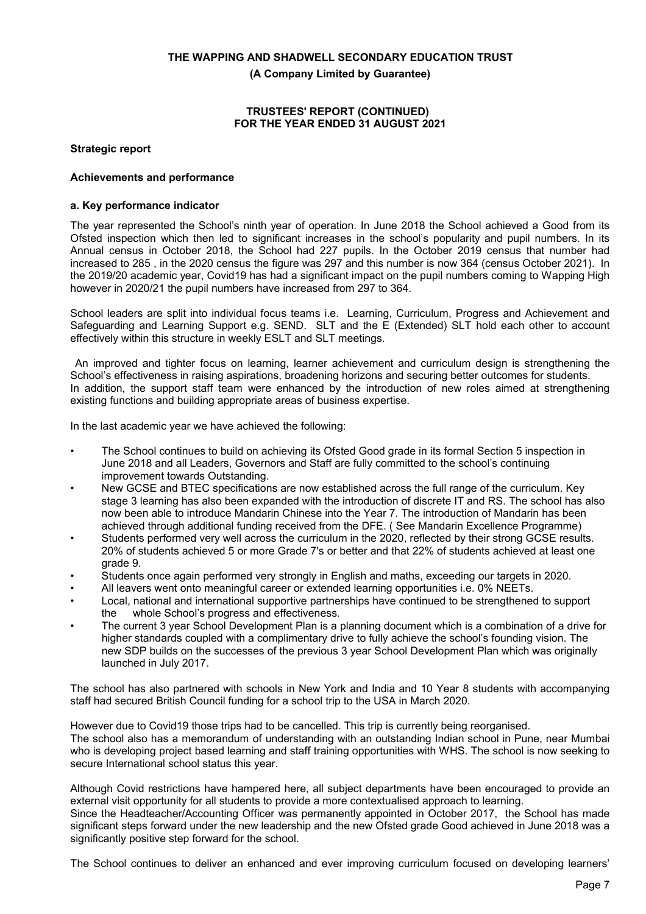**(A Company Limited by Guarantee)**

#### **TRUSTEES' REPORT (CONTINUED) FOR THE YEAR ENDED 31 AUGUST 2021**

**Strategic report**

#### **Achievements and performance**

#### **a. Key performance indicator**

The year represented the School's ninth year of operation. In June 2018 the School achieved a Good from its Ofsted inspection which then led to significant increases in the school's popularity and pupil numbers. In its Annual census in October 2018, the School had 227 pupils. In the October 2019 census that number had increased to 285 , in the 2020 census the figure was 297 and this number is now 364 (census October 2021). In the 2019/20 academic year, Covid19 has had a significant impact on the pupil numbers coming to Wapping High however in 2020/21 the pupil numbers have increased from 297 to 364.

School leaders are split into individual focus teams i.e. Learning, Curriculum, Progress and Achievement and Safeguarding and Learning Support e.g. SEND. SLT and the E (Extended) SLT hold each other to account effectively within this structure in weekly ESLT and SLT meetings.

 An improved and tighter focus on learning, learner achievement and curriculum design is strengthening the School's effectiveness in raising aspirations, broadening horizons and securing better outcomes for students. In addition, the support staff team were enhanced by the introduction of new roles aimed at strengthening existing functions and building appropriate areas of business expertise.

In the last academic year we have achieved the following:

- The School continues to build on achieving its Ofsted Good grade in its formal Section 5 inspection in June 2018 and all Leaders, Governors and Staff are fully committed to the school's continuing improvement towards Outstanding.
- New GCSE and BTEC specifications are now established across the full range of the curriculum. Key stage 3 learning has also been expanded with the introduction of discrete IT and RS. The school has also now been able to introduce Mandarin Chinese into the Year 7. The introduction of Mandarin has been achieved through additional funding received from the DFE. ( See Mandarin Excellence Programme)
- Students performed very well across the curriculum in the 2020, reflected by their strong GCSE results. 20% of students achieved 5 or more Grade 7's or better and that 22% of students achieved at least one grade 9.
- Students once again performed very strongly in English and maths, exceeding our targets in 2020.
- All leavers went onto meaningful career or extended learning opportunities i.e. 0% NEETs.
- Local, national and international supportive partnerships have continued to be strengthened to support the whole School's progress and effectiveness.
- The current 3 year School Development Plan is a planning document which is a combination of a drive for higher standards coupled with a complimentary drive to fully achieve the school's founding vision. The new SDP builds on the successes of the previous 3 year School Development Plan which was originally launched in July 2017.

The school has also partnered with schools in New York and India and 10 Year 8 students with accompanying staff had secured British Council funding for a school trip to the USA in March 2020.

However due to Covid19 those trips had to be cancelled. This trip is currently being reorganised. The school also has a memorandum of understanding with an outstanding Indian school in Pune, near Mumbai who is developing project based learning and staff training opportunities with WHS. The school is now seeking to secure International school status this year.

Although Covid restrictions have hampered here, all subject departments have been encouraged to provide an external visit opportunity for all students to provide a more contextualised approach to learning. Since the Headteacher/Accounting Officer was permanently appointed in October 2017, the School has made significant steps forward under the new leadership and the new Ofsted grade Good achieved in June 2018 was a significantly positive step forward for the school.

The School continues to deliver an enhanced and ever improving curriculum focused on developing learners'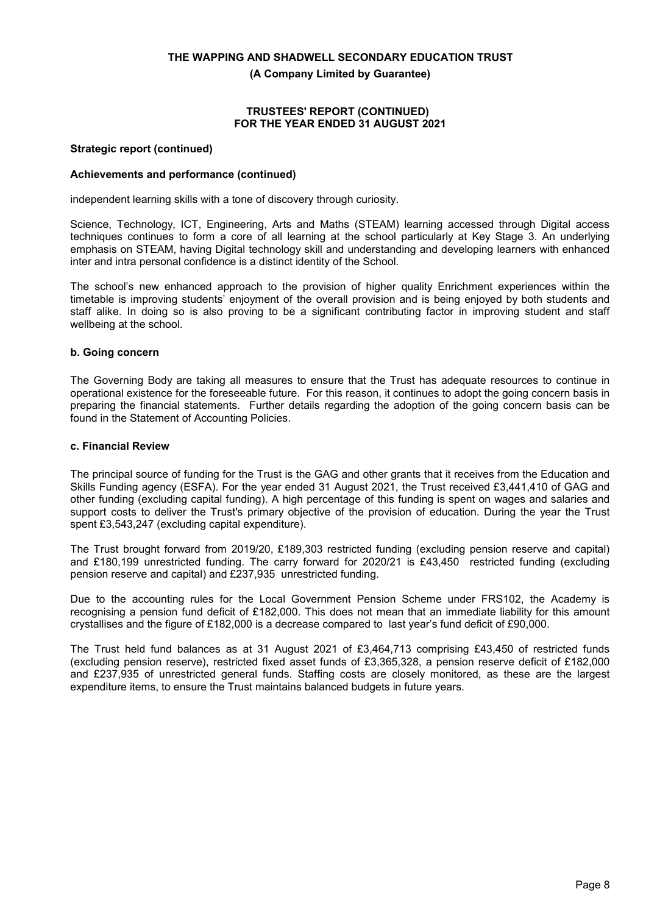**(A Company Limited by Guarantee)**

#### **TRUSTEES' REPORT (CONTINUED) FOR THE YEAR ENDED 31 AUGUST 2021**

#### **Strategic report (continued)**

#### **Achievements and performance (continued)**

independent learning skills with a tone of discovery through curiosity.

Science, Technology, ICT, Engineering, Arts and Maths (STEAM) learning accessed through Digital access techniques continues to form a core of all learning at the school particularly at Key Stage 3. An underlying emphasis on STEAM, having Digital technology skill and understanding and developing learners with enhanced inter and intra personal confidence is a distinct identity of the School.

The school's new enhanced approach to the provision of higher quality Enrichment experiences within the timetable is improving students' enjoyment of the overall provision and is being enjoyed by both students and staff alike. In doing so is also proving to be a significant contributing factor in improving student and staff wellbeing at the school.

#### **b. Going concern**

The Governing Body are taking all measures to ensure that the Trust has adequate resources to continue in operational existence for the foreseeable future. For this reason, it continues to adopt the going concern basis in preparing the financial statements. Further details regarding the adoption of the going concern basis can be found in the Statement of Accounting Policies.

#### **c. Financial Review**

The principal source of funding for the Trust is the GAG and other grants that it receives from the Education and Skills Funding agency (ESFA). For the year ended 31 August 2021, the Trust received £3,441,410 of GAG and other funding (excluding capital funding). A high percentage of this funding is spent on wages and salaries and support costs to deliver the Trust's primary objective of the provision of education. During the year the Trust spent £3,543,247 (excluding capital expenditure).

The Trust brought forward from 2019/20, £189,303 restricted funding (excluding pension reserve and capital) and £180,199 unrestricted funding. The carry forward for 2020/21 is £43,450 restricted funding (excluding pension reserve and capital) and £237,935 unrestricted funding.

Due to the accounting rules for the Local Government Pension Scheme under FRS102, the Academy is recognising a pension fund deficit of £182,000. This does not mean that an immediate liability for this amount crystallises and the figure of £182,000 is a decrease compared to last year's fund deficit of £90,000.

The Trust held fund balances as at 31 August 2021 of £3,464,713 comprising £43,450 of restricted funds (excluding pension reserve), restricted fixed asset funds of £3,365,328, a pension reserve deficit of £182,000 and £237,935 of unrestricted general funds. Staffing costs are closely monitored, as these are the largest expenditure items, to ensure the Trust maintains balanced budgets in future years.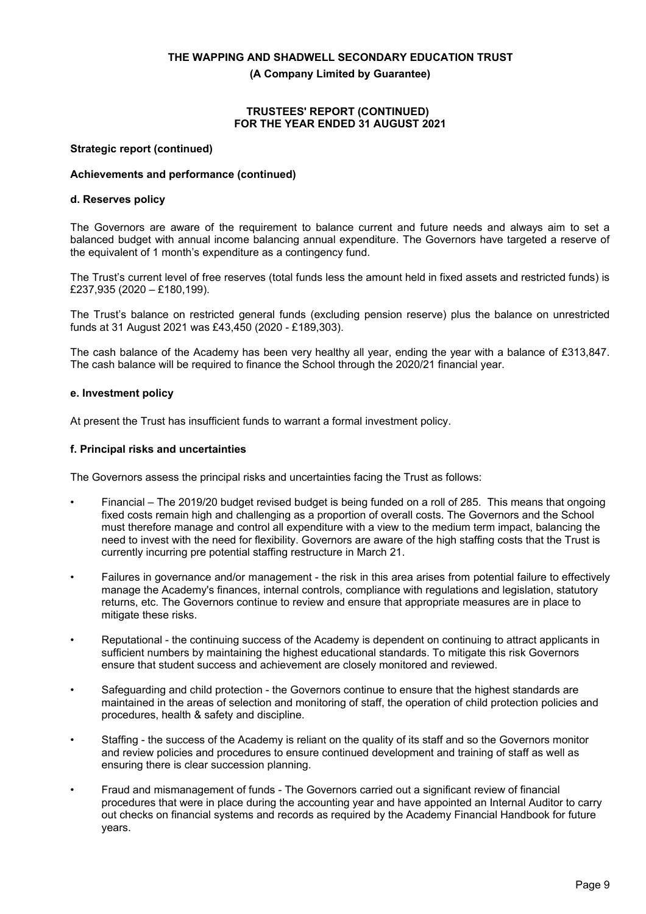**(A Company Limited by Guarantee)**

#### **TRUSTEES' REPORT (CONTINUED) FOR THE YEAR ENDED 31 AUGUST 2021**

#### **Strategic report (continued)**

### **Achievements and performance (continued)**

#### **d. Reserves policy**

The Governors are aware of the requirement to balance current and future needs and always aim to set a balanced budget with annual income balancing annual expenditure. The Governors have targeted a reserve of the equivalent of 1 month's expenditure as a contingency fund.

The Trust's current level of free reserves (total funds less the amount held in fixed assets and restricted funds) is £237,935 (2020 – £180,199).

The Trust's balance on restricted general funds (excluding pension reserve) plus the balance on unrestricted funds at 31 August 2021 was £43,450 (2020 - £189,303).

The cash balance of the Academy has been very healthy all year, ending the year with a balance of £313,847. The cash balance will be required to finance the School through the 2020/21 financial year.

#### **e. Investment policy**

At present the Trust has insufficient funds to warrant a formal investment policy.

#### **f. Principal risks and uncertainties**

The Governors assess the principal risks and uncertainties facing the Trust as follows:

- Financial The 2019/20 budget revised budget is being funded on a roll of 285. This means that ongoing fixed costs remain high and challenging as a proportion of overall costs. The Governors and the School must therefore manage and control all expenditure with a view to the medium term impact, balancing the need to invest with the need for flexibility. Governors are aware of the high staffing costs that the Trust is currently incurring pre potential staffing restructure in March 21.
- Failures in governance and/or management the risk in this area arises from potential failure to effectively manage the Academy's finances, internal controls, compliance with regulations and legislation, statutory returns, etc. The Governors continue to review and ensure that appropriate measures are in place to mitigate these risks.
- Reputational the continuing success of the Academy is dependent on continuing to attract applicants in sufficient numbers by maintaining the highest educational standards. To mitigate this risk Governors ensure that student success and achievement are closely monitored and reviewed.
- Safeguarding and child protection the Governors continue to ensure that the highest standards are maintained in the areas of selection and monitoring of staff, the operation of child protection policies and procedures, health & safety and discipline.
- Staffing the success of the Academy is reliant on the quality of its staff and so the Governors monitor and review policies and procedures to ensure continued development and training of staff as well as ensuring there is clear succession planning.
- Fraud and mismanagement of funds The Governors carried out a significant review of financial procedures that were in place during the accounting year and have appointed an Internal Auditor to carry out checks on financial systems and records as required by the Academy Financial Handbook for future years.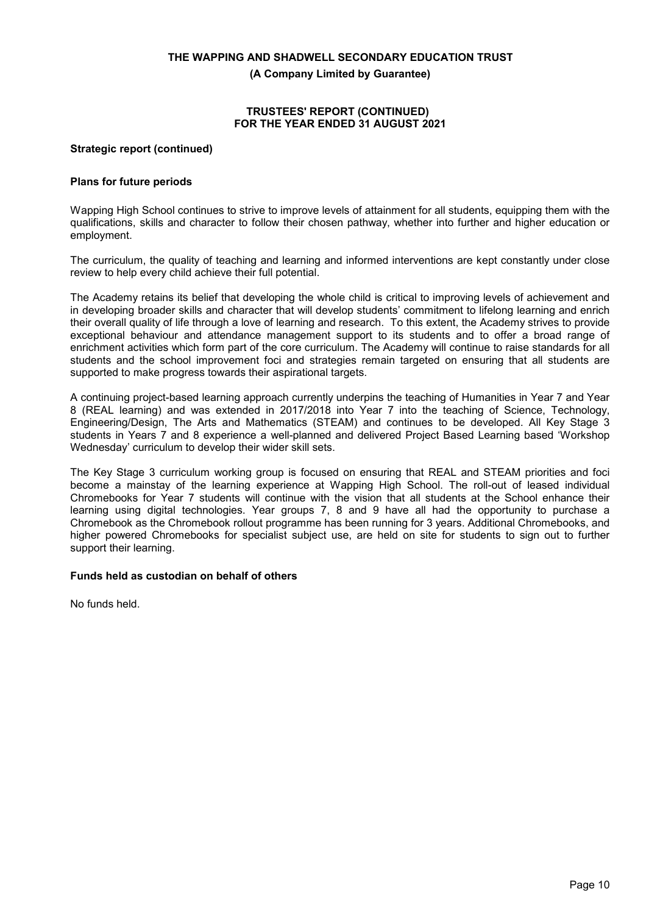**(A Company Limited by Guarantee)**

#### **TRUSTEES' REPORT (CONTINUED) FOR THE YEAR ENDED 31 AUGUST 2021**

#### **Strategic report (continued)**

#### **Plans for future periods**

Wapping High School continues to strive to improve levels of attainment for all students, equipping them with the qualifications, skills and character to follow their chosen pathway, whether into further and higher education or employment.

The curriculum, the quality of teaching and learning and informed interventions are kept constantly under close review to help every child achieve their full potential.

The Academy retains its belief that developing the whole child is critical to improving levels of achievement and in developing broader skills and character that will develop students' commitment to lifelong learning and enrich their overall quality of life through a love of learning and research. To this extent, the Academy strives to provide exceptional behaviour and attendance management support to its students and to offer a broad range of enrichment activities which form part of the core curriculum. The Academy will continue to raise standards for all students and the school improvement foci and strategies remain targeted on ensuring that all students are supported to make progress towards their aspirational targets.

A continuing project-based learning approach currently underpins the teaching of Humanities in Year 7 and Year 8 (REAL learning) and was extended in 2017/2018 into Year 7 into the teaching of Science, Technology, Engineering/Design, The Arts and Mathematics (STEAM) and continues to be developed. All Key Stage 3 students in Years 7 and 8 experience a well-planned and delivered Project Based Learning based 'Workshop Wednesday' curriculum to develop their wider skill sets.

The Key Stage 3 curriculum working group is focused on ensuring that REAL and STEAM priorities and foci become a mainstay of the learning experience at Wapping High School. The roll-out of leased individual Chromebooks for Year 7 students will continue with the vision that all students at the School enhance their learning using digital technologies. Year groups 7, 8 and 9 have all had the opportunity to purchase a Chromebook as the Chromebook rollout programme has been running for 3 years. Additional Chromebooks, and higher powered Chromebooks for specialist subject use, are held on site for students to sign out to further support their learning.

## **Funds held as custodian on behalf of others**

No funds held.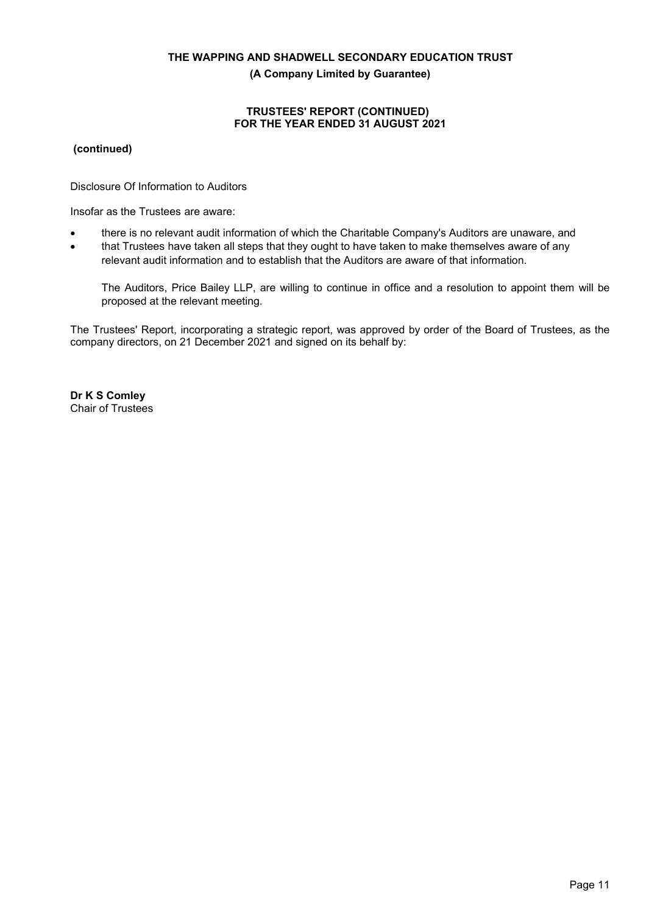**(A Company Limited by Guarantee)**

#### **TRUSTEES' REPORT (CONTINUED) FOR THE YEAR ENDED 31 AUGUST 2021**

**(continued)**

Disclosure Of Information to Auditors

Insofar as the Trustees are aware:

- there is no relevant audit information of which the Charitable Company's Auditors are unaware, and
- that Trustees have taken all steps that they ought to have taken to make themselves aware of any relevant audit information and to establish that the Auditors are aware of that information.

The Auditors, Price Bailey LLP, are willing to continue in office and a resolution to appoint them will be proposed at the relevant meeting.

The Trustees' Report, incorporating a strategic report, was approved by order of the Board of Trustees, as the company directors, on 21 December 2021 and signed on its behalf by:

**Dr K S Comley** Chair of Trustees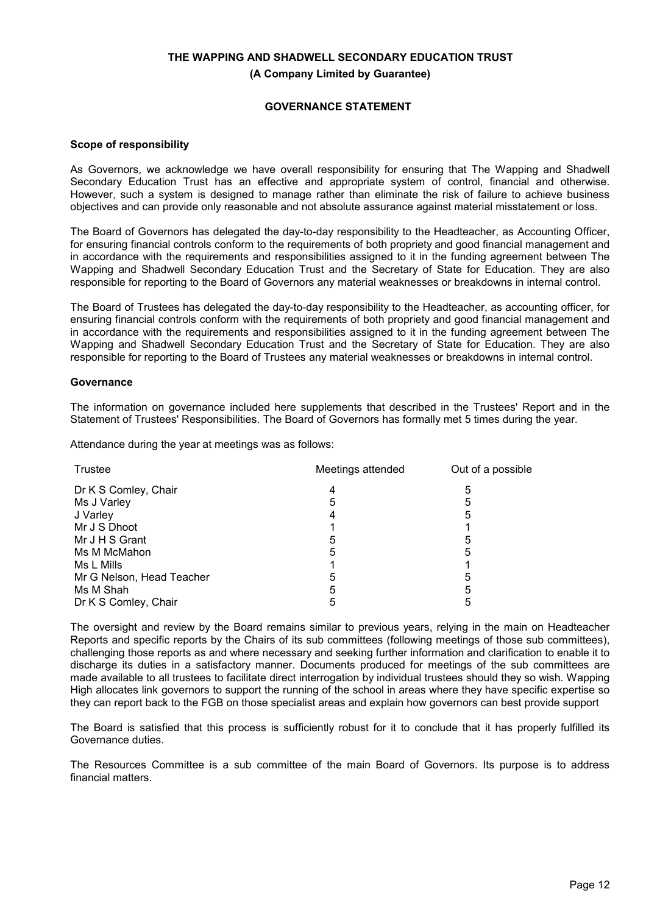**(A Company Limited by Guarantee)**

## **GOVERNANCE STATEMENT**

#### **Scope of responsibility**

As Governors, we acknowledge we have overall responsibility for ensuring that The Wapping and Shadwell Secondary Education Trust has an effective and appropriate system of control, financial and otherwise. However, such a system is designed to manage rather than eliminate the risk of failure to achieve business objectives and can provide only reasonable and not absolute assurance against material misstatement or loss.

The Board of Governors has delegated the day-to-day responsibility to the Headteacher, as Accounting Officer, for ensuring financial controls conform to the requirements of both propriety and good financial management and in accordance with the requirements and responsibilities assigned to it in the funding agreement between The Wapping and Shadwell Secondary Education Trust and the Secretary of State for Education. They are also responsible for reporting to the Board of Governors any material weaknesses or breakdowns in internal control.

The Board of Trustees has delegated the day-to-day responsibility to the Headteacher, as accounting officer, for ensuring financial controls conform with the requirements of both propriety and good financial management and in accordance with the requirements and responsibilities assigned to it in the funding agreement between The Wapping and Shadwell Secondary Education Trust and the Secretary of State for Education. They are also responsible for reporting to the Board of Trustees any material weaknesses or breakdowns in internal control.

#### **Governance**

The information on governance included here supplements that described in the Trustees' Report and in the Statement of Trustees' Responsibilities. The Board of Governors has formally met 5 times during the year.

Attendance during the year at meetings was as follows:

| Trustee                   | Meetings attended | Out of a possible |  |
|---------------------------|-------------------|-------------------|--|
| Dr K S Comley, Chair      |                   | 5                 |  |
| Ms J Varley               | 5                 | 5                 |  |
| J Varley                  |                   | 5                 |  |
| Mr J S Dhoot              |                   |                   |  |
| Mr J H S Grant            | 5                 | 5                 |  |
| Ms M McMahon              | 5                 | 5                 |  |
| Ms L Mills                |                   |                   |  |
| Mr G Nelson, Head Teacher | 5                 | 5                 |  |
| Ms M Shah                 | 5                 | 5                 |  |
| Dr K S Comley, Chair      |                   |                   |  |

The oversight and review by the Board remains similar to previous years, relying in the main on Headteacher Reports and specific reports by the Chairs of its sub committees (following meetings of those sub committees), challenging those reports as and where necessary and seeking further information and clarification to enable it to discharge its duties in a satisfactory manner. Documents produced for meetings of the sub committees are made available to all trustees to facilitate direct interrogation by individual trustees should they so wish. Wapping High allocates link governors to support the running of the school in areas where they have specific expertise so they can report back to the FGB on those specialist areas and explain how governors can best provide support

The Board is satisfied that this process is sufficiently robust for it to conclude that it has properly fulfilled its Governance duties.

The Resources Committee is a sub committee of the main Board of Governors. Its purpose is to address financial matters.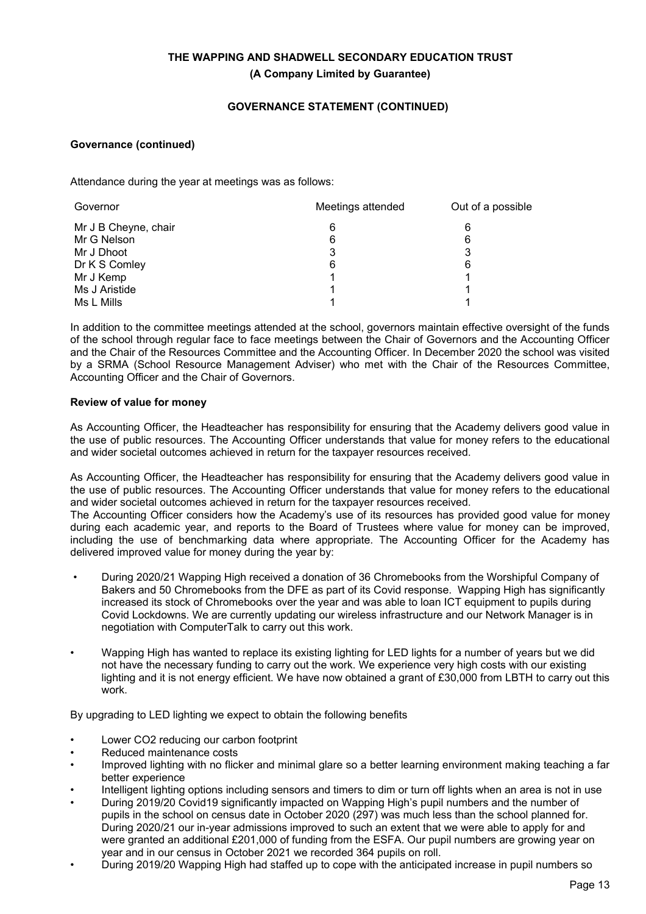## **GOVERNANCE STATEMENT (CONTINUED)**

## **Governance (continued)**

Attendance during the year at meetings was as follows:

| Meetings attended<br>Governor |   | Out of a possible |
|-------------------------------|---|-------------------|
| Mr J B Cheyne, chair          | 6 | 6                 |
| Mr G Nelson                   | 6 | 6                 |
| Mr J Dhoot                    |   |                   |
| Dr K S Comley                 | 6 | 6                 |
| Mr J Kemp                     |   |                   |
| Ms J Aristide                 |   |                   |
| Ms L Mills                    |   |                   |

In addition to the committee meetings attended at the school, governors maintain effective oversight of the funds of the school through regular face to face meetings between the Chair of Governors and the Accounting Officer and the Chair of the Resources Committee and the Accounting Officer. In December 2020 the school was visited by a SRMA (School Resource Management Adviser) who met with the Chair of the Resources Committee, Accounting Officer and the Chair of Governors.

## **Review of value for money**

As Accounting Officer, the Headteacher has responsibility for ensuring that the Academy delivers good value in the use of public resources. The Accounting Officer understands that value for money refers to the educational and wider societal outcomes achieved in return for the taxpayer resources received.

As Accounting Officer, the Headteacher has responsibility for ensuring that the Academy delivers good value in the use of public resources. The Accounting Officer understands that value for money refers to the educational and wider societal outcomes achieved in return for the taxpayer resources received.

The Accounting Officer considers how the Academy's use of its resources has provided good value for money during each academic year, and reports to the Board of Trustees where value for money can be improved, including the use of benchmarking data where appropriate. The Accounting Officer for the Academy has delivered improved value for money during the year by:

- During 2020/21 Wapping High received a donation of 36 Chromebooks from the Worshipful Company of Bakers and 50 Chromebooks from the DFE as part of its Covid response. Wapping High has significantly increased its stock of Chromebooks over the year and was able to loan ICT equipment to pupils during Covid Lockdowns. We are currently updating our wireless infrastructure and our Network Manager is in negotiation with ComputerTalk to carry out this work.
- Wapping High has wanted to replace its existing lighting for LED lights for a number of years but we did not have the necessary funding to carry out the work. We experience very high costs with our existing lighting and it is not energy efficient. We have now obtained a grant of £30,000 from LBTH to carry out this work.

By upgrading to LED lighting we expect to obtain the following benefits

- Lower CO2 reducing our carbon footprint
- Reduced maintenance costs
- Improved lighting with no flicker and minimal glare so a better learning environment making teaching a far better experience
- Intelligent lighting options including sensors and timers to dim or turn off lights when an area is not in use
- During 2019/20 Covid19 significantly impacted on Wapping High's pupil numbers and the number of pupils in the school on census date in October 2020 (297) was much less than the school planned for. During 2020/21 our in-year admissions improved to such an extent that we were able to apply for and were granted an additional £201,000 of funding from the ESFA. Our pupil numbers are growing year on year and in our census in October 2021 we recorded 364 pupils on roll.
- During 2019/20 Wapping High had staffed up to cope with the anticipated increase in pupil numbers so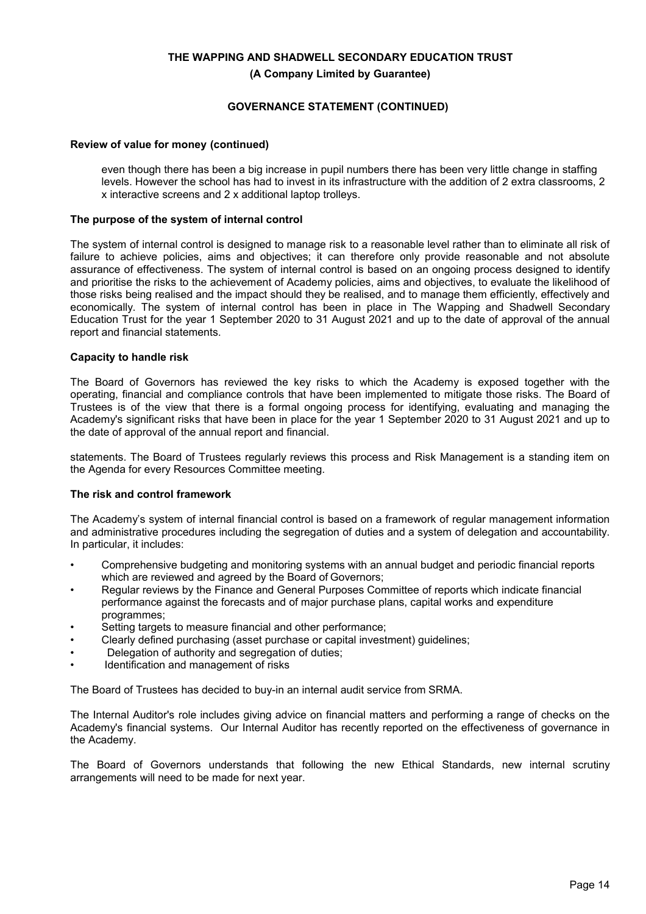## **GOVERNANCE STATEMENT (CONTINUED)**

#### **Review of value for money (continued)**

even though there has been a big increase in pupil numbers there has been very little change in staffing levels. However the school has had to invest in its infrastructure with the addition of 2 extra classrooms, 2 x interactive screens and 2 x additional laptop trolleys.

#### **The purpose of the system of internal control**

The system of internal control is designed to manage risk to a reasonable level rather than to eliminate all risk of failure to achieve policies, aims and objectives; it can therefore only provide reasonable and not absolute assurance of effectiveness. The system of internal control is based on an ongoing process designed to identify and prioritise the risks to the achievement of Academy policies, aims and objectives, to evaluate the likelihood of those risks being realised and the impact should they be realised, and to manage them efficiently, effectively and economically. The system of internal control has been in place in The Wapping and Shadwell Secondary Education Trust for the year 1 September 2020 to 31 August 2021 and up to the date of approval of the annual report and financial statements.

#### **Capacity to handle risk**

The Board of Governors has reviewed the key risks to which the Academy is exposed together with the operating, financial and compliance controls that have been implemented to mitigate those risks. The Board of Trustees is of the view that there is a formal ongoing process for identifying, evaluating and managing the Academy's significant risks that have been in place for the year 1 September 2020 to 31 August 2021 and up to the date of approval of the annual report and financial.

statements. The Board of Trustees regularly reviews this process and Risk Management is a standing item on the Agenda for every Resources Committee meeting.

## **The risk and control framework**

The Academy's system of internal financial control is based on a framework of regular management information and administrative procedures including the segregation of duties and a system of delegation and accountability. In particular, it includes:

- Comprehensive budgeting and monitoring systems with an annual budget and periodic financial reports which are reviewed and agreed by the Board of Governors;
- Regular reviews by the Finance and General Purposes Committee of reports which indicate financial performance against the forecasts and of major purchase plans, capital works and expenditure programmes;
- Setting targets to measure financial and other performance;
- Clearly defined purchasing (asset purchase or capital investment) guidelines;
- Delegation of authority and segregation of duties;
- Identification and management of risks

The Board of Trustees has decided to buy-in an internal audit service from SRMA.

The Internal Auditor's role includes giving advice on financial matters and performing a range of checks on the Academy's financial systems. Our Internal Auditor has recently reported on the effectiveness of governance in the Academy.

The Board of Governors understands that following the new Ethical Standards, new internal scrutiny arrangements will need to be made for next year.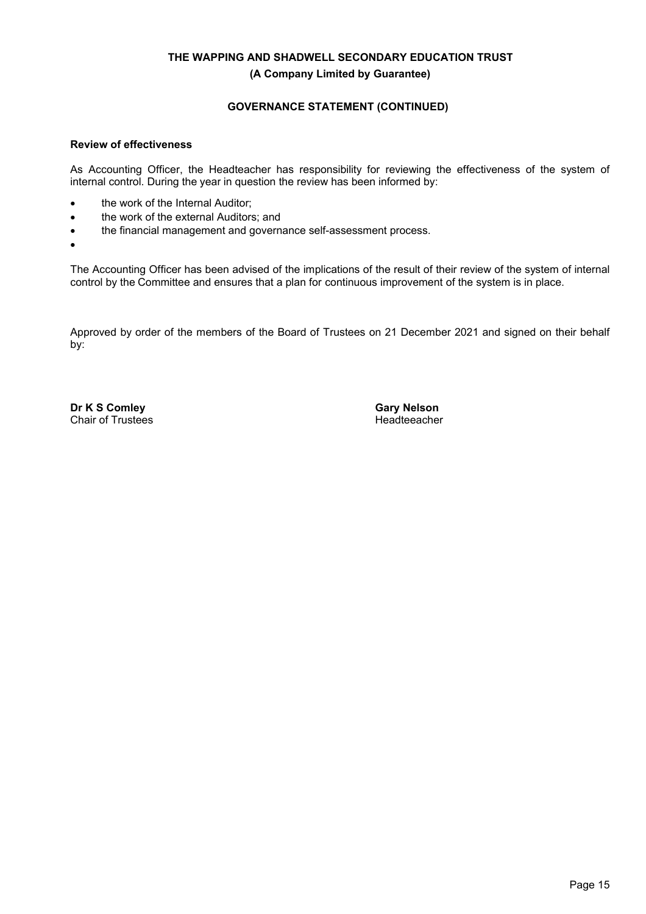## **GOVERNANCE STATEMENT (CONTINUED)**

#### **Review of effectiveness**

As Accounting Officer, the Headteacher has responsibility for reviewing the effectiveness of the system of internal control. During the year in question the review has been informed by:

- the work of the Internal Auditor:
- the work of the external Auditors; and
- the financial management and governance self-assessment process.
- •

The Accounting Officer has been advised of the implications of the result of their review of the system of internal control by the Committee and ensures that a plan for continuous improvement of the system is in place.

Approved by order of the members of the Board of Trustees on 21 December 2021 and signed on their behalf by:

**Dr K S Comley** Chair of Trustees **Gary Nelson** Headteeacher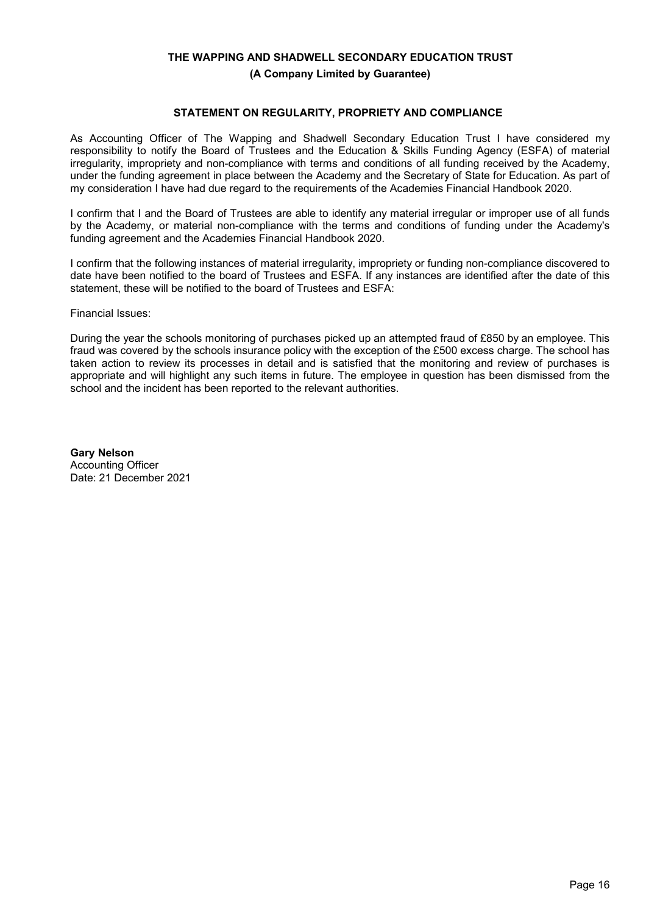**(A Company Limited by Guarantee)**

#### **STATEMENT ON REGULARITY, PROPRIETY AND COMPLIANCE**

As Accounting Officer of The Wapping and Shadwell Secondary Education Trust I have considered my responsibility to notify the Board of Trustees and the Education & Skills Funding Agency (ESFA) of material irregularity, impropriety and non-compliance with terms and conditions of all funding received by the Academy, under the funding agreement in place between the Academy and the Secretary of State for Education. As part of my consideration I have had due regard to the requirements of the Academies Financial Handbook 2020.

I confirm that I and the Board of Trustees are able to identify any material irregular or improper use of all funds by the Academy, or material non-compliance with the terms and conditions of funding under the Academy's funding agreement and the Academies Financial Handbook 2020.

I confirm that the following instances of material irregularity, impropriety or funding non-compliance discovered to date have been notified to the board of Trustees and ESFA. If any instances are identified after the date of this statement, these will be notified to the board of Trustees and ESFA:

Financial Issues:

During the year the schools monitoring of purchases picked up an attempted fraud of £850 by an employee. This fraud was covered by the schools insurance policy with the exception of the £500 excess charge. The school has taken action to review its processes in detail and is satisfied that the monitoring and review of purchases is appropriate and will highlight any such items in future. The employee in question has been dismissed from the school and the incident has been reported to the relevant authorities.

**Gary Nelson** Accounting Officer Date: 21 December 2021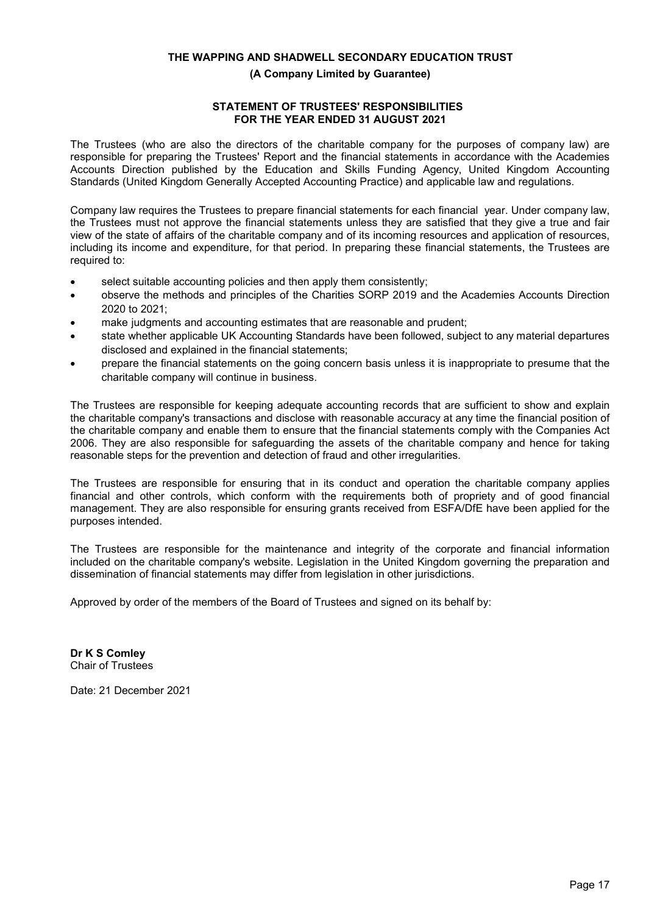### **(A Company Limited by Guarantee)**

## **STATEMENT OF TRUSTEES' RESPONSIBILITIES FOR THE YEAR ENDED 31 AUGUST 2021**

The Trustees (who are also the directors of the charitable company for the purposes of company law) are responsible for preparing the Trustees' Report and the financial statements in accordance with the Academies Accounts Direction published by the Education and Skills Funding Agency, United Kingdom Accounting Standards (United Kingdom Generally Accepted Accounting Practice) and applicable law and regulations.

Company law requires the Trustees to prepare financial statements for each financial year. Under company law, the Trustees must not approve the financial statements unless they are satisfied that they give a true and fair view of the state of affairs of the charitable company and of its incoming resources and application of resources, including its income and expenditure, for that period. In preparing these financial statements, the Trustees are required to:

- select suitable accounting policies and then apply them consistently;
- observe the methods and principles of the Charities SORP 2019 and the Academies Accounts Direction 2020 to 2021;
- make judgments and accounting estimates that are reasonable and prudent;
- state whether applicable UK Accounting Standards have been followed, subject to any material departures disclosed and explained in the financial statements;
- prepare the financial statements on the going concern basis unless it is inappropriate to presume that the charitable company will continue in business.

The Trustees are responsible for keeping adequate accounting records that are sufficient to show and explain the charitable company's transactions and disclose with reasonable accuracy at any time the financial position of the charitable company and enable them to ensure that the financial statements comply with the Companies Act 2006. They are also responsible for safeguarding the assets of the charitable company and hence for taking reasonable steps for the prevention and detection of fraud and other irregularities.

The Trustees are responsible for ensuring that in its conduct and operation the charitable company applies financial and other controls, which conform with the requirements both of propriety and of good financial management. They are also responsible for ensuring grants received from ESFA/DfE have been applied for the purposes intended.

The Trustees are responsible for the maintenance and integrity of the corporate and financial information included on the charitable company's website. Legislation in the United Kingdom governing the preparation and dissemination of financial statements may differ from legislation in other jurisdictions.

Approved by order of the members of the Board of Trustees and signed on its behalf by:

**Dr K S Comley** Chair of Trustees

Date: 21 December 2021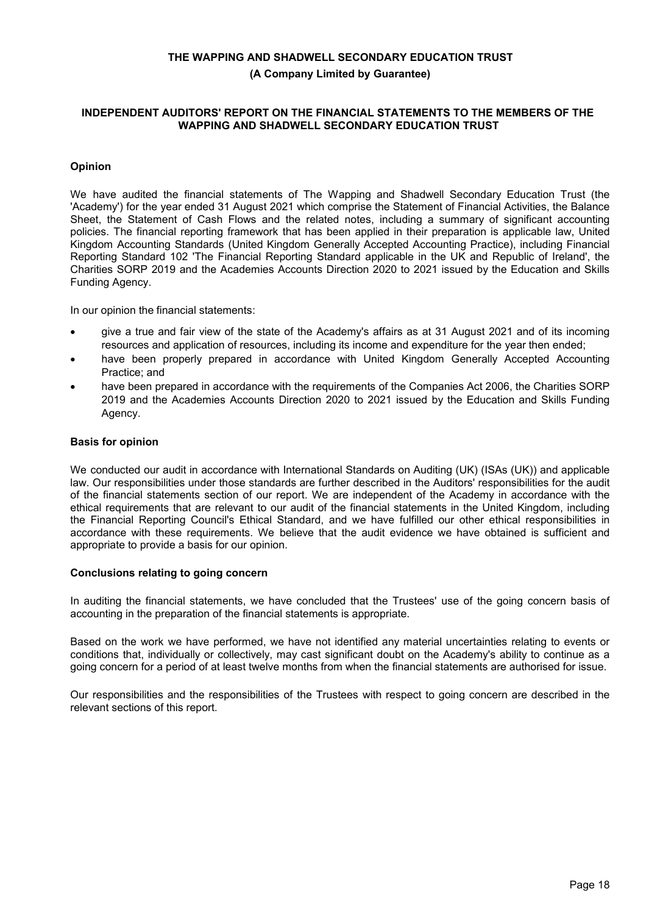**(A Company Limited by Guarantee)**

#### **INDEPENDENT AUDITORS' REPORT ON THE FINANCIAL STATEMENTS TO THE MEMBERS OF THE WAPPING AND SHADWELL SECONDARY EDUCATION TRUST**

## **Opinion**

We have audited the financial statements of The Wapping and Shadwell Secondary Education Trust (the 'Academy') for the year ended 31 August 2021 which comprise the Statement of Financial Activities, the Balance Sheet, the Statement of Cash Flows and the related notes, including a summary of significant accounting policies. The financial reporting framework that has been applied in their preparation is applicable law, United Kingdom Accounting Standards (United Kingdom Generally Accepted Accounting Practice), including Financial Reporting Standard 102 'The Financial Reporting Standard applicable in the UK and Republic of Ireland', the Charities SORP 2019 and the Academies Accounts Direction 2020 to 2021 issued by the Education and Skills Funding Agency.

In our opinion the financial statements:

- give a true and fair view of the state of the Academy's affairs as at 31 August 2021 and of its incoming resources and application of resources, including its income and expenditure for the year then ended;
- have been properly prepared in accordance with United Kingdom Generally Accepted Accounting Practice; and
- have been prepared in accordance with the requirements of the Companies Act 2006, the Charities SORP 2019 and the Academies Accounts Direction 2020 to 2021 issued by the Education and Skills Funding Agency.

#### **Basis for opinion**

We conducted our audit in accordance with International Standards on Auditing (UK) (ISAs (UK)) and applicable law. Our responsibilities under those standards are further described in the Auditors' responsibilities for the audit of the financial statements section of our report. We are independent of the Academy in accordance with the ethical requirements that are relevant to our audit of the financial statements in the United Kingdom, including the Financial Reporting Council's Ethical Standard, and we have fulfilled our other ethical responsibilities in accordance with these requirements. We believe that the audit evidence we have obtained is sufficient and appropriate to provide a basis for our opinion.

#### **Conclusions relating to going concern**

In auditing the financial statements, we have concluded that the Trustees' use of the going concern basis of accounting in the preparation of the financial statements is appropriate.

Based on the work we have performed, we have not identified any material uncertainties relating to events or conditions that, individually or collectively, may cast significant doubt on the Academy's ability to continue as a going concern for a period of at least twelve months from when the financial statements are authorised for issue.

Our responsibilities and the responsibilities of the Trustees with respect to going concern are described in the relevant sections of this report.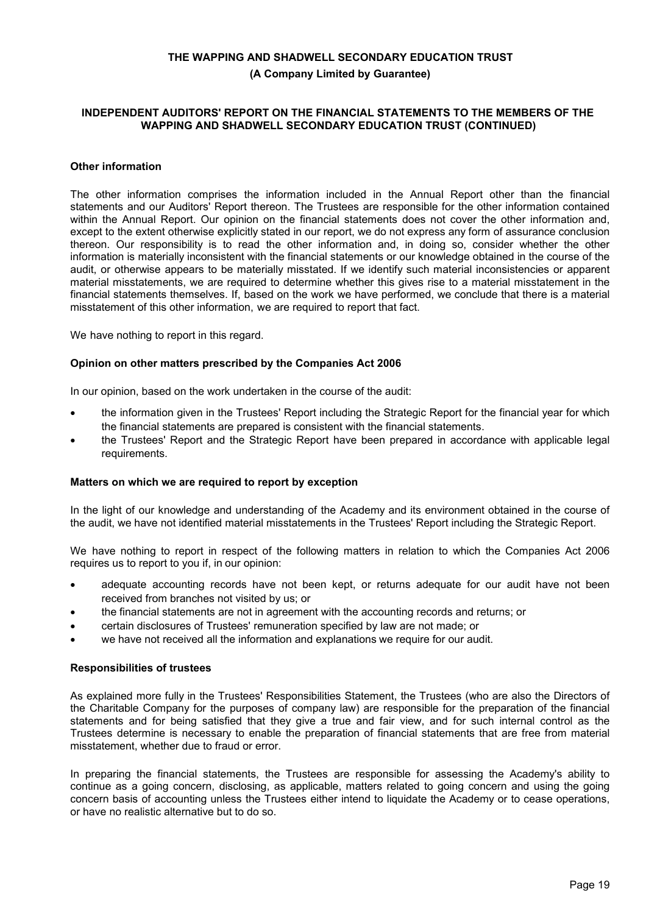**(A Company Limited by Guarantee)**

#### **INDEPENDENT AUDITORS' REPORT ON THE FINANCIAL STATEMENTS TO THE MEMBERS OF THE WAPPING AND SHADWELL SECONDARY EDUCATION TRUST (CONTINUED)**

#### **Other information**

The other information comprises the information included in the Annual Report other than the financial statements and our Auditors' Report thereon. The Trustees are responsible for the other information contained within the Annual Report. Our opinion on the financial statements does not cover the other information and, except to the extent otherwise explicitly stated in our report, we do not express any form of assurance conclusion thereon. Our responsibility is to read the other information and, in doing so, consider whether the other information is materially inconsistent with the financial statements or our knowledge obtained in the course of the audit, or otherwise appears to be materially misstated. If we identify such material inconsistencies or apparent material misstatements, we are required to determine whether this gives rise to a material misstatement in the financial statements themselves. If, based on the work we have performed, we conclude that there is a material misstatement of this other information, we are required to report that fact.

We have nothing to report in this regard.

#### **Opinion on other matters prescribed by the Companies Act 2006**

In our opinion, based on the work undertaken in the course of the audit:

- the information given in the Trustees' Report including the Strategic Report for the financial year for which the financial statements are prepared is consistent with the financial statements.
- the Trustees' Report and the Strategic Report have been prepared in accordance with applicable legal requirements.

#### **Matters on which we are required to report by exception**

In the light of our knowledge and understanding of the Academy and its environment obtained in the course of the audit, we have not identified material misstatements in the Trustees' Report including the Strategic Report.

We have nothing to report in respect of the following matters in relation to which the Companies Act 2006 requires us to report to you if, in our opinion:

- adequate accounting records have not been kept, or returns adequate for our audit have not been received from branches not visited by us; or
- the financial statements are not in agreement with the accounting records and returns; or
- certain disclosures of Trustees' remuneration specified by law are not made; or
- we have not received all the information and explanations we require for our audit.

#### **Responsibilities of trustees**

As explained more fully in the Trustees' Responsibilities Statement, the Trustees (who are also the Directors of the Charitable Company for the purposes of company law) are responsible for the preparation of the financial statements and for being satisfied that they give a true and fair view, and for such internal control as the Trustees determine is necessary to enable the preparation of financial statements that are free from material misstatement, whether due to fraud or error.

In preparing the financial statements, the Trustees are responsible for assessing the Academy's ability to continue as a going concern, disclosing, as applicable, matters related to going concern and using the going concern basis of accounting unless the Trustees either intend to liquidate the Academy or to cease operations, or have no realistic alternative but to do so.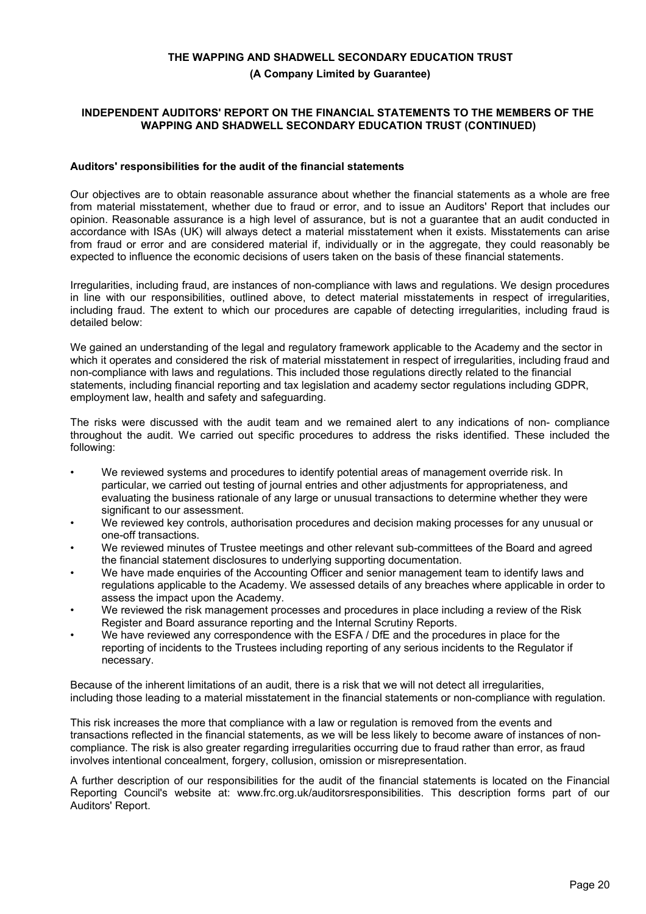**(A Company Limited by Guarantee)**

#### **INDEPENDENT AUDITORS' REPORT ON THE FINANCIAL STATEMENTS TO THE MEMBERS OF THE WAPPING AND SHADWELL SECONDARY EDUCATION TRUST (CONTINUED)**

#### **Auditors' responsibilities for the audit of the financial statements**

Our objectives are to obtain reasonable assurance about whether the financial statements as a whole are free from material misstatement, whether due to fraud or error, and to issue an Auditors' Report that includes our opinion. Reasonable assurance is a high level of assurance, but is not a guarantee that an audit conducted in accordance with ISAs (UK) will always detect a material misstatement when it exists. Misstatements can arise from fraud or error and are considered material if, individually or in the aggregate, they could reasonably be expected to influence the economic decisions of users taken on the basis of these financial statements.

Irregularities, including fraud, are instances of non-compliance with laws and regulations. We design procedures in line with our responsibilities, outlined above, to detect material misstatements in respect of irregularities, including fraud. The extent to which our procedures are capable of detecting irregularities, including fraud is detailed below:

We gained an understanding of the legal and regulatory framework applicable to the Academy and the sector in which it operates and considered the risk of material misstatement in respect of irregularities, including fraud and non-compliance with laws and regulations. This included those regulations directly related to the financial statements, including financial reporting and tax legislation and academy sector regulations including GDPR, employment law, health and safety and safeguarding.

The risks were discussed with the audit team and we remained alert to any indications of non- compliance throughout the audit. We carried out specific procedures to address the risks identified. These included the following:

- We reviewed systems and procedures to identify potential areas of management override risk. In particular, we carried out testing of journal entries and other adjustments for appropriateness, and evaluating the business rationale of any large or unusual transactions to determine whether they were significant to our assessment.
- We reviewed key controls, authorisation procedures and decision making processes for any unusual or one-off transactions.
- We reviewed minutes of Trustee meetings and other relevant sub-committees of the Board and agreed the financial statement disclosures to underlying supporting documentation.
- We have made enquiries of the Accounting Officer and senior management team to identify laws and regulations applicable to the Academy. We assessed details of any breaches where applicable in order to assess the impact upon the Academy.
- We reviewed the risk management processes and procedures in place including a review of the Risk Register and Board assurance reporting and the Internal Scrutiny Reports.
- We have reviewed any correspondence with the ESFA / DfE and the procedures in place for the reporting of incidents to the Trustees including reporting of any serious incidents to the Regulator if necessary.

Because of the inherent limitations of an audit, there is a risk that we will not detect all irregularities, including those leading to a material misstatement in the financial statements or non-compliance with regulation.

This risk increases the more that compliance with a law or regulation is removed from the events and transactions reflected in the financial statements, as we will be less likely to become aware of instances of noncompliance. The risk is also greater regarding irregularities occurring due to fraud rather than error, as fraud involves intentional concealment, forgery, collusion, omission or misrepresentation.

A further description of our responsibilities for the audit of the financial statements is located on the Financial Reporting Council's website at: www.frc.org.uk/auditorsresponsibilities. This description forms part of our Auditors' Report.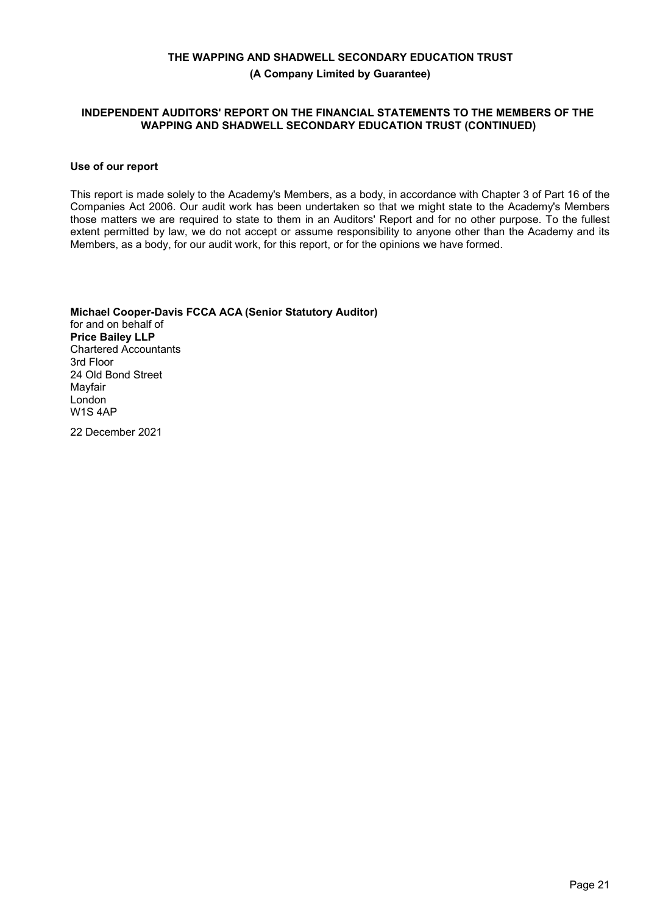**(A Company Limited by Guarantee)**

#### **INDEPENDENT AUDITORS' REPORT ON THE FINANCIAL STATEMENTS TO THE MEMBERS OF THE WAPPING AND SHADWELL SECONDARY EDUCATION TRUST (CONTINUED)**

#### **Use of our report**

This report is made solely to the Academy's Members, as a body, in accordance with Chapter 3 of Part 16 of the Companies Act 2006. Our audit work has been undertaken so that we might state to the Academy's Members those matters we are required to state to them in an Auditors' Report and for no other purpose. To the fullest extent permitted by law, we do not accept or assume responsibility to anyone other than the Academy and its Members, as a body, for our audit work, for this report, or for the opinions we have formed.

**Michael Cooper-Davis FCCA ACA (Senior Statutory Auditor)** for and on behalf of **Price Bailey LLP** Chartered Accountants 3rd Floor 24 Old Bond Street Mayfair London W1S 4AP

22 December 2021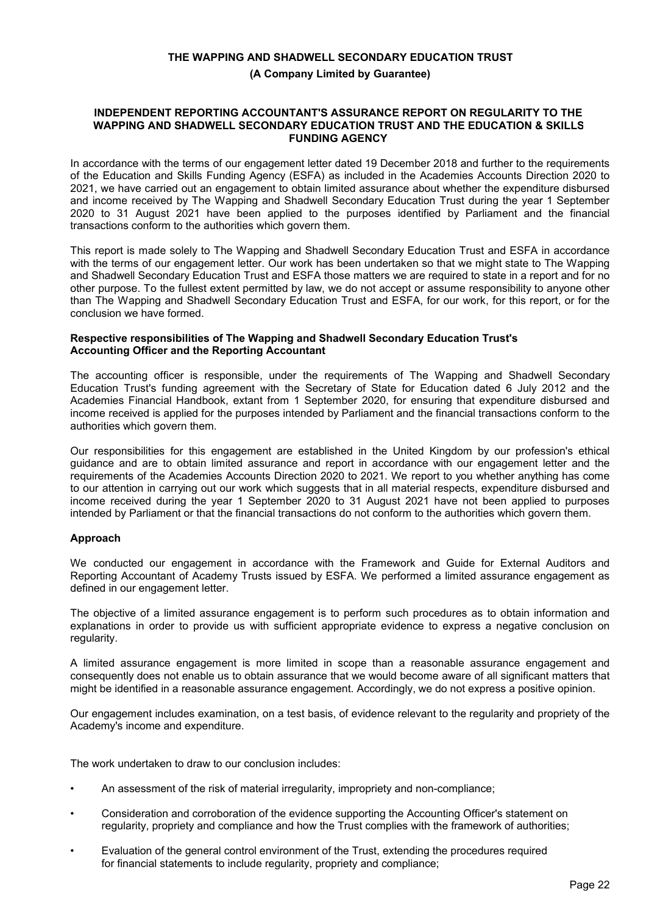#### **(A Company Limited by Guarantee)**

#### **INDEPENDENT REPORTING ACCOUNTANT'S ASSURANCE REPORT ON REGULARITY TO THE WAPPING AND SHADWELL SECONDARY EDUCATION TRUST AND THE EDUCATION & SKILLS FUNDING AGENCY**

In accordance with the terms of our engagement letter dated 19 December 2018 and further to the requirements of the Education and Skills Funding Agency (ESFA) as included in the Academies Accounts Direction 2020 to 2021, we have carried out an engagement to obtain limited assurance about whether the expenditure disbursed and income received by The Wapping and Shadwell Secondary Education Trust during the year 1 September 2020 to 31 August 2021 have been applied to the purposes identified by Parliament and the financial transactions conform to the authorities which govern them.

This report is made solely to The Wapping and Shadwell Secondary Education Trust and ESFA in accordance with the terms of our engagement letter. Our work has been undertaken so that we might state to The Wapping and Shadwell Secondary Education Trust and ESFA those matters we are required to state in a report and for no other purpose. To the fullest extent permitted by law, we do not accept or assume responsibility to anyone other than The Wapping and Shadwell Secondary Education Trust and ESFA, for our work, for this report, or for the conclusion we have formed.

### **Respective responsibilities of The Wapping and Shadwell Secondary Education Trust's Accounting Officer and the Reporting Accountant**

The accounting officer is responsible, under the requirements of The Wapping and Shadwell Secondary Education Trust's funding agreement with the Secretary of State for Education dated 6 July 2012 and the Academies Financial Handbook, extant from 1 September 2020, for ensuring that expenditure disbursed and income received is applied for the purposes intended by Parliament and the financial transactions conform to the authorities which govern them.

Our responsibilities for this engagement are established in the United Kingdom by our profession's ethical guidance and are to obtain limited assurance and report in accordance with our engagement letter and the requirements of the Academies Accounts Direction 2020 to 2021. We report to you whether anything has come to our attention in carrying out our work which suggests that in all material respects, expenditure disbursed and income received during the year 1 September 2020 to 31 August 2021 have not been applied to purposes intended by Parliament or that the financial transactions do not conform to the authorities which govern them.

## **Approach**

We conducted our engagement in accordance with the Framework and Guide for External Auditors and Reporting Accountant of Academy Trusts issued by ESFA. We performed a limited assurance engagement as defined in our engagement letter.

The objective of a limited assurance engagement is to perform such procedures as to obtain information and explanations in order to provide us with sufficient appropriate evidence to express a negative conclusion on regularity.

A limited assurance engagement is more limited in scope than a reasonable assurance engagement and consequently does not enable us to obtain assurance that we would become aware of all significant matters that might be identified in a reasonable assurance engagement. Accordingly, we do not express a positive opinion.

Our engagement includes examination, on a test basis, of evidence relevant to the regularity and propriety of the Academy's income and expenditure.

The work undertaken to draw to our conclusion includes:

- An assessment of the risk of material irregularity, impropriety and non-compliance;
- Consideration and corroboration of the evidence supporting the Accounting Officer's statement on regularity, propriety and compliance and how the Trust complies with the framework of authorities;
- Evaluation of the general control environment of the Trust, extending the procedures required for financial statements to include regularity, propriety and compliance;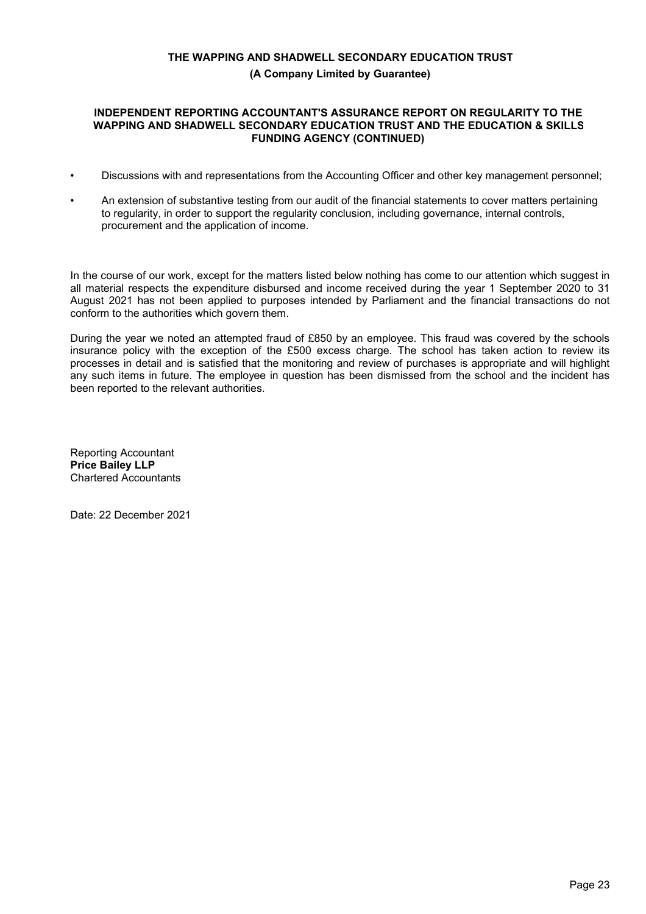## **(A Company Limited by Guarantee)**

#### **INDEPENDENT REPORTING ACCOUNTANT'S ASSURANCE REPORT ON REGULARITY TO THE WAPPING AND SHADWELL SECONDARY EDUCATION TRUST AND THE EDUCATION & SKILLS FUNDING AGENCY (CONTINUED)**

- Discussions with and representations from the Accounting Officer and other key management personnel;
- An extension of substantive testing from our audit of the financial statements to cover matters pertaining to regularity, in order to support the regularity conclusion, including governance, internal controls, procurement and the application of income.

In the course of our work, except for the matters listed below nothing has come to our attention which suggest in all material respects the expenditure disbursed and income received during the year 1 September 2020 to 31 August 2021 has not been applied to purposes intended by Parliament and the financial transactions do not conform to the authorities which govern them.

During the year we noted an attempted fraud of £850 by an employee. This fraud was covered by the schools insurance policy with the exception of the £500 excess charge. The school has taken action to review its processes in detail and is satisfied that the monitoring and review of purchases is appropriate and will highlight any such items in future. The employee in question has been dismissed from the school and the incident has been reported to the relevant authorities.

Reporting Accountant **Price Bailey LLP** Chartered Accountants

Date: 22 December 2021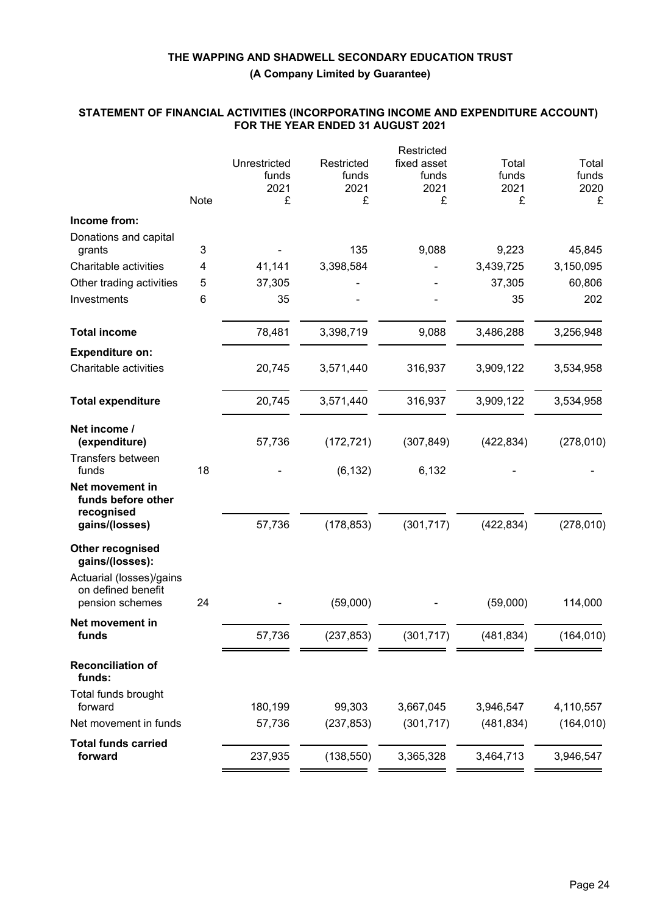**(A Company Limited by Guarantee)**

#### **STATEMENT OF FINANCIAL ACTIVITIES (INCORPORATING INCOME AND EXPENDITURE ACCOUNT) FOR THE YEAR ENDED 31 AUGUST 2021**

|                                                     |      |               |            | Restricted  |            |            |
|-----------------------------------------------------|------|---------------|------------|-------------|------------|------------|
|                                                     |      | Unrestricted  | Restricted | fixed asset | Total      | Total      |
|                                                     |      | funds<br>2021 | funds      | funds       | funds      | funds      |
|                                                     | Note | £             | 2021<br>£  | 2021<br>£   | 2021<br>£  | 2020<br>£  |
| Income from:                                        |      |               |            |             |            |            |
| Donations and capital                               |      |               |            |             |            |            |
| grants                                              | 3    |               | 135        | 9,088       | 9,223      | 45,845     |
| Charitable activities                               | 4    | 41,141        | 3,398,584  |             | 3,439,725  | 3,150,095  |
| Other trading activities                            | 5    | 37,305        |            |             | 37,305     | 60,806     |
| Investments                                         | 6    | 35            |            |             | 35         | 202        |
| <b>Total income</b>                                 |      | 78,481        | 3,398,719  | 9,088       | 3,486,288  | 3,256,948  |
| <b>Expenditure on:</b>                              |      |               |            |             |            |            |
| Charitable activities                               |      | 20,745        | 3,571,440  | 316,937     | 3,909,122  | 3,534,958  |
| <b>Total expenditure</b>                            |      | 20,745        | 3,571,440  | 316,937     | 3,909,122  | 3,534,958  |
| Net income /                                        |      |               |            |             |            |            |
| (expenditure)                                       |      | 57,736        | (172, 721) | (307, 849)  | (422, 834) | (278, 010) |
| Transfers between<br>funds                          | 18   |               | (6, 132)   | 6,132       |            |            |
| Net movement in<br>funds before other<br>recognised |      |               |            |             |            |            |
| gains/(losses)                                      |      | 57,736        | (178, 853) | (301, 717)  | (422, 834) | (278, 010) |
| Other recognised<br>gains/(losses):                 |      |               |            |             |            |            |
| Actuarial (losses)/gains                            |      |               |            |             |            |            |
| on defined benefit<br>pension schemes               | 24   |               | (59,000)   |             | (59,000)   | 114,000    |
| Net movement in                                     |      |               |            |             |            |            |
| <b>tunds</b>                                        |      | 57,736        | (237, 853) | (301, 717)  | (481, 834) | (164, 010) |
| <b>Reconciliation of</b><br>funds:                  |      |               |            |             |            |            |
| Total funds brought<br>forward                      |      | 180,199       | 99,303     | 3,667,045   | 3,946,547  | 4,110,557  |
| Net movement in funds                               |      | 57,736        | (237, 853) | (301, 717)  | (481, 834) | (164, 010) |
| <b>Total funds carried</b>                          |      |               |            |             |            |            |
| forward                                             |      | 237,935       | (138, 550) | 3,365,328   | 3,464,713  | 3,946,547  |
|                                                     |      |               |            |             |            |            |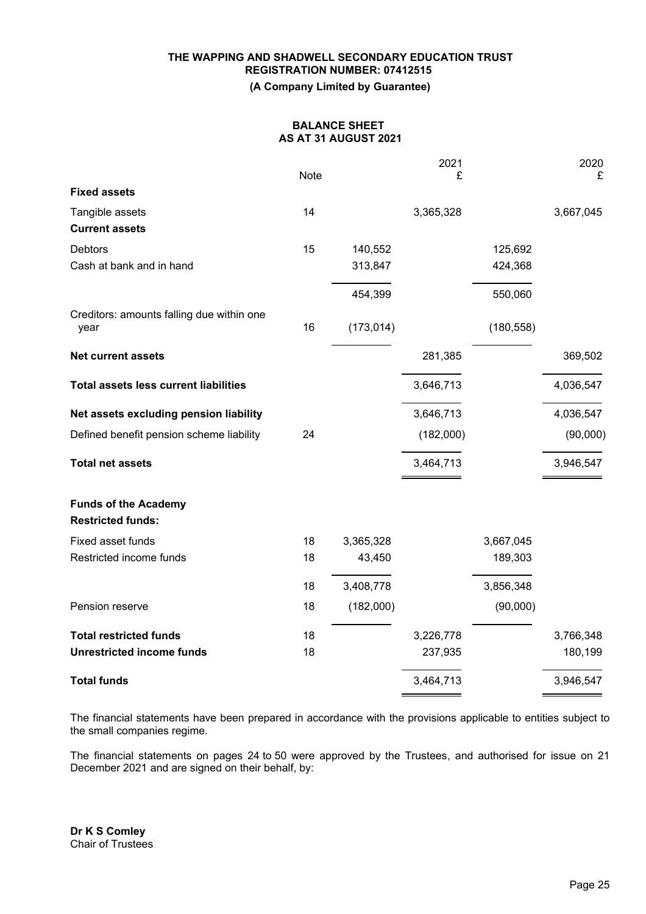## **THE WAPPING AND SHADWELL SECONDARY EDUCATION TRUST REGISTRATION NUMBER: 07412515 (A Company Limited by Guarantee)**

## **BALANCE SHEET AS AT 31 AUGUST 2021**

|                                                         | <b>Note</b> |            | 2021<br>£ |            | 2020<br>£ |
|---------------------------------------------------------|-------------|------------|-----------|------------|-----------|
| <b>Fixed assets</b>                                     |             |            |           |            |           |
| Tangible assets                                         | 14          |            | 3,365,328 |            | 3,667,045 |
| <b>Current assets</b>                                   |             |            |           |            |           |
| <b>Debtors</b>                                          | 15          | 140,552    |           | 125,692    |           |
| Cash at bank and in hand                                |             | 313,847    |           | 424,368    |           |
|                                                         |             | 454,399    |           | 550,060    |           |
| Creditors: amounts falling due within one<br>year       | 16          | (173, 014) |           | (180, 558) |           |
| <b>Net current assets</b>                               |             |            | 281,385   |            | 369,502   |
| <b>Total assets less current liabilities</b>            |             |            | 3,646,713 |            | 4,036,547 |
| Net assets excluding pension liability                  |             |            | 3,646,713 |            | 4,036,547 |
| Defined benefit pension scheme liability                | 24          |            | (182,000) |            | (90,000)  |
| <b>Total net assets</b>                                 |             |            | 3,464,713 |            | 3,946,547 |
| <b>Funds of the Academy</b><br><b>Restricted funds:</b> |             |            |           |            |           |
| Fixed asset funds                                       | 18          | 3,365,328  |           | 3,667,045  |           |
| Restricted income funds                                 | 18          | 43,450     |           | 189,303    |           |
|                                                         | 18          | 3,408,778  |           | 3,856,348  |           |
| Pension reserve                                         | 18          | (182,000)  |           | (90,000)   |           |
| <b>Total restricted funds</b>                           | 18          |            | 3,226,778 |            | 3,766,348 |
| <b>Unrestricted income funds</b>                        | 18          |            | 237,935   |            | 180,199   |
| <b>Total funds</b>                                      |             |            | 3,464,713 |            | 3,946,547 |

The financial statements have been prepared in accordance with the provisions applicable to entities subject to the small companies regime.

The financial statements on pages 24 to 50 were approved by the Trustees, and authorised for issue on 21 December 2021 and are signed on their behalf, by: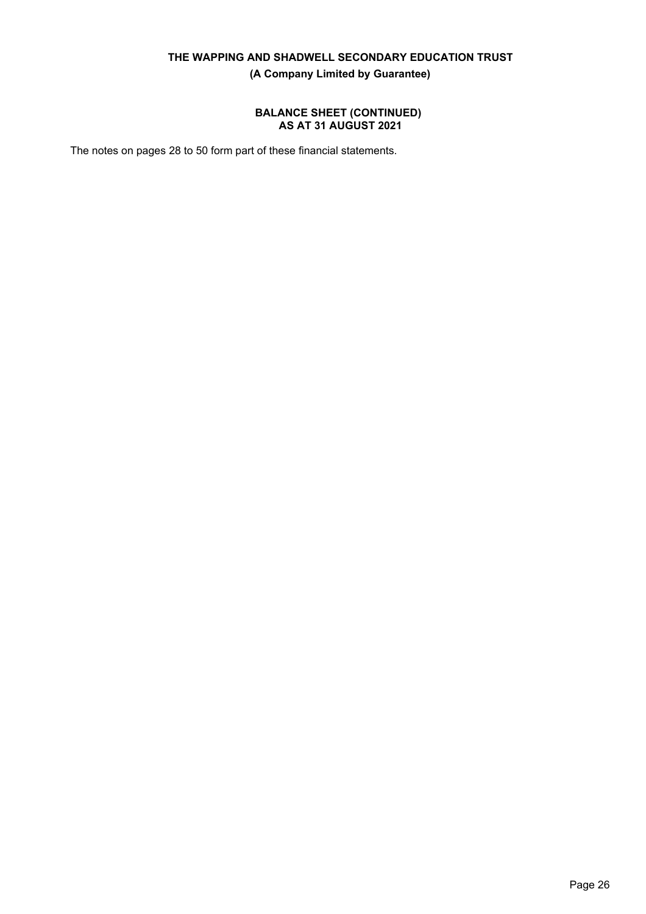**(A Company Limited by Guarantee)**

## **BALANCE SHEET (CONTINUED) AS AT 31 AUGUST 2021**

The notes on pages 28 to 50 form part of these financial statements.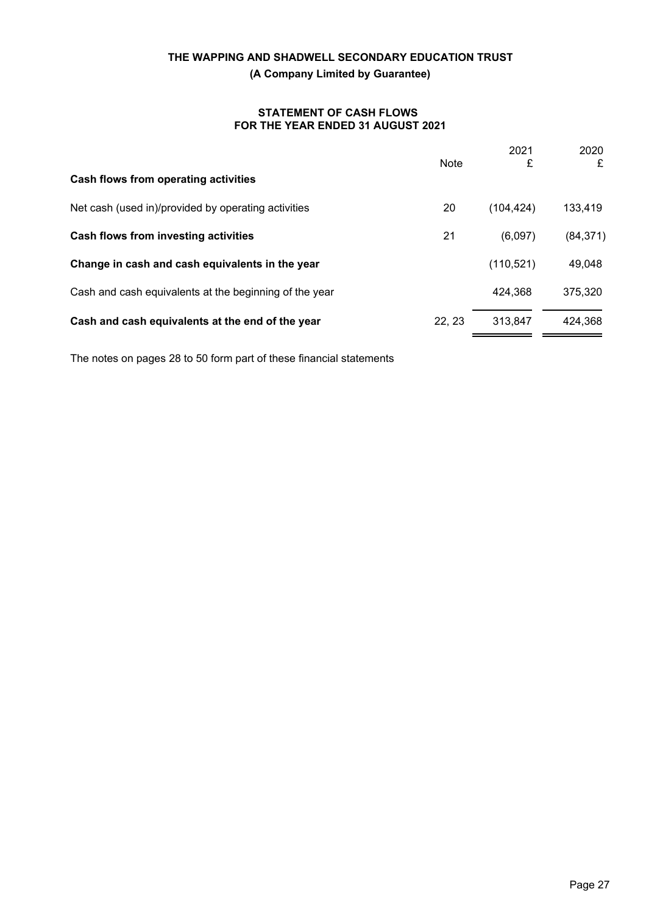### **STATEMENT OF CASH FLOWS FOR THE YEAR ENDED 31 AUGUST 2021**

|                                                        | Note  | 2021<br>£  | 2020<br>£ |
|--------------------------------------------------------|-------|------------|-----------|
| Cash flows from operating activities                   |       |            |           |
| Net cash (used in)/provided by operating activities    | 20    | (104, 424) | 133,419   |
| Cash flows from investing activities                   | 21    | (6,097)    | (84, 371) |
| Change in cash and cash equivalents in the year        |       | (110, 521) | 49,048    |
| Cash and cash equivalents at the beginning of the year |       | 424,368    | 375,320   |
| Cash and cash equivalents at the end of the year       | 22.23 | 313,847    | 424,368   |
|                                                        |       |            |           |

The notes on pages 28 to 50 form part of these financial statements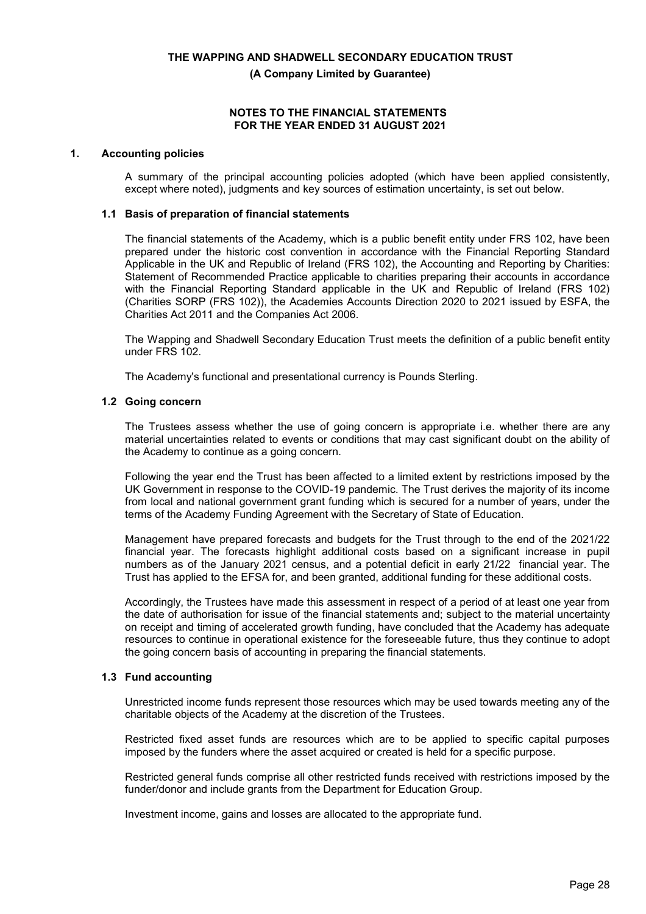**(A Company Limited by Guarantee)**

#### **NOTES TO THE FINANCIAL STATEMENTS FOR THE YEAR ENDED 31 AUGUST 2021**

#### **1. Accounting policies**

A summary of the principal accounting policies adopted (which have been applied consistently, except where noted), judgments and key sources of estimation uncertainty, is set out below.

#### **1.1 Basis of preparation of financial statements**

The financial statements of the Academy, which is a public benefit entity under FRS 102, have been prepared under the historic cost convention in accordance with the Financial Reporting Standard Applicable in the UK and Republic of Ireland (FRS 102), the Accounting and Reporting by Charities: Statement of Recommended Practice applicable to charities preparing their accounts in accordance with the Financial Reporting Standard applicable in the UK and Republic of Ireland (FRS 102) (Charities SORP (FRS 102)), the Academies Accounts Direction 2020 to 2021 issued by ESFA, the Charities Act 2011 and the Companies Act 2006.

The Wapping and Shadwell Secondary Education Trust meets the definition of a public benefit entity under FRS 102.

The Academy's functional and presentational currency is Pounds Sterling.

#### **1.2 Going concern**

The Trustees assess whether the use of going concern is appropriate i.e. whether there are any material uncertainties related to events or conditions that may cast significant doubt on the ability of the Academy to continue as a going concern.

Following the year end the Trust has been affected to a limited extent by restrictions imposed by the UK Government in response to the COVID-19 pandemic. The Trust derives the majority of its income from local and national government grant funding which is secured for a number of years, under the terms of the Academy Funding Agreement with the Secretary of State of Education.

Management have prepared forecasts and budgets for the Trust through to the end of the 2021/22 financial year. The forecasts highlight additional costs based on a significant increase in pupil numbers as of the January 2021 census, and a potential deficit in early 21/22 financial year. The Trust has applied to the EFSA for, and been granted, additional funding for these additional costs.

Accordingly, the Trustees have made this assessment in respect of a period of at least one year from the date of authorisation for issue of the financial statements and; subject to the material uncertainty on receipt and timing of accelerated growth funding, have concluded that the Academy has adequate resources to continue in operational existence for the foreseeable future, thus they continue to adopt the going concern basis of accounting in preparing the financial statements.

#### **1.3 Fund accounting**

Unrestricted income funds represent those resources which may be used towards meeting any of the charitable objects of the Academy at the discretion of the Trustees.

Restricted fixed asset funds are resources which are to be applied to specific capital purposes imposed by the funders where the asset acquired or created is held for a specific purpose.

Restricted general funds comprise all other restricted funds received with restrictions imposed by the funder/donor and include grants from the Department for Education Group.

Investment income, gains and losses are allocated to the appropriate fund.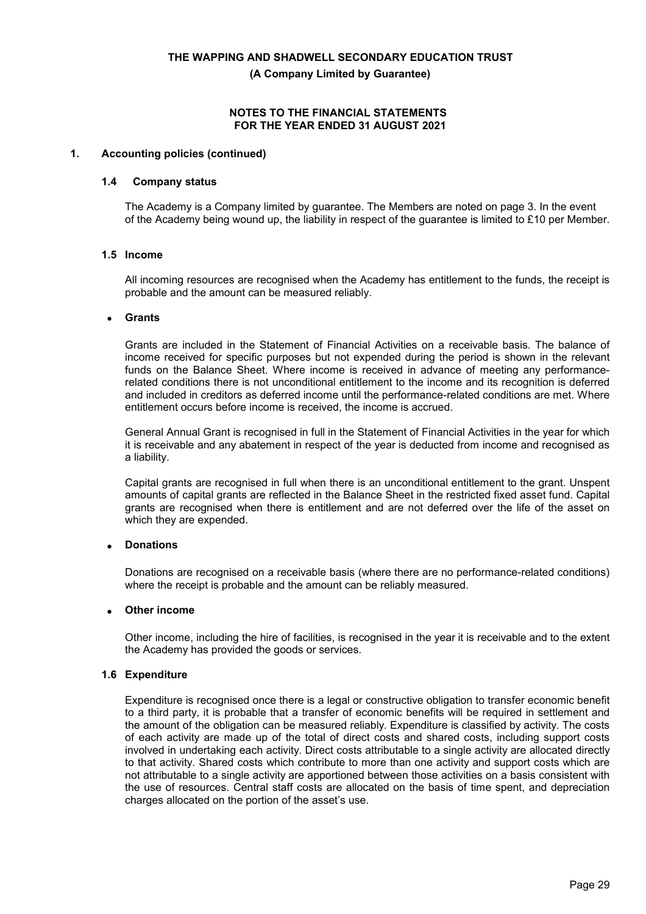**(A Company Limited by Guarantee)**

#### **NOTES TO THE FINANCIAL STATEMENTS FOR THE YEAR ENDED 31 AUGUST 2021**

#### **1. Accounting policies (continued)**

#### **1.4 Company status**

The Academy is a Company limited by guarantee. The Members are noted on page 3. In the event of the Academy being wound up, the liability in respect of the guarantee is limited to £10 per Member.

## **1.5 Income**

All incoming resources are recognised when the Academy has entitlement to the funds, the receipt is probable and the amount can be measured reliably.

#### • **Grants**

Grants are included in the Statement of Financial Activities on a receivable basis. The balance of income received for specific purposes but not expended during the period is shown in the relevant funds on the Balance Sheet. Where income is received in advance of meeting any performancerelated conditions there is not unconditional entitlement to the income and its recognition is deferred and included in creditors as deferred income until the performance-related conditions are met. Where entitlement occurs before income is received, the income is accrued.

General Annual Grant is recognised in full in the Statement of Financial Activities in the year for which it is receivable and any abatement in respect of the year is deducted from income and recognised as a liability.

Capital grants are recognised in full when there is an unconditional entitlement to the grant. Unspent amounts of capital grants are reflected in the Balance Sheet in the restricted fixed asset fund. Capital grants are recognised when there is entitlement and are not deferred over the life of the asset on which they are expended.

## • **Donations**

Donations are recognised on a receivable basis (where there are no performance-related conditions) where the receipt is probable and the amount can be reliably measured.

#### • **Other income**

Other income, including the hire of facilities, is recognised in the year it is receivable and to the extent the Academy has provided the goods or services.

#### **1.6 Expenditure**

Expenditure is recognised once there is a legal or constructive obligation to transfer economic benefit to a third party, it is probable that a transfer of economic benefits will be required in settlement and the amount of the obligation can be measured reliably. Expenditure is classified by activity. The costs of each activity are made up of the total of direct costs and shared costs, including support costs involved in undertaking each activity. Direct costs attributable to a single activity are allocated directly to that activity. Shared costs which contribute to more than one activity and support costs which are not attributable to a single activity are apportioned between those activities on a basis consistent with the use of resources. Central staff costs are allocated on the basis of time spent, and depreciation charges allocated on the portion of the asset's use.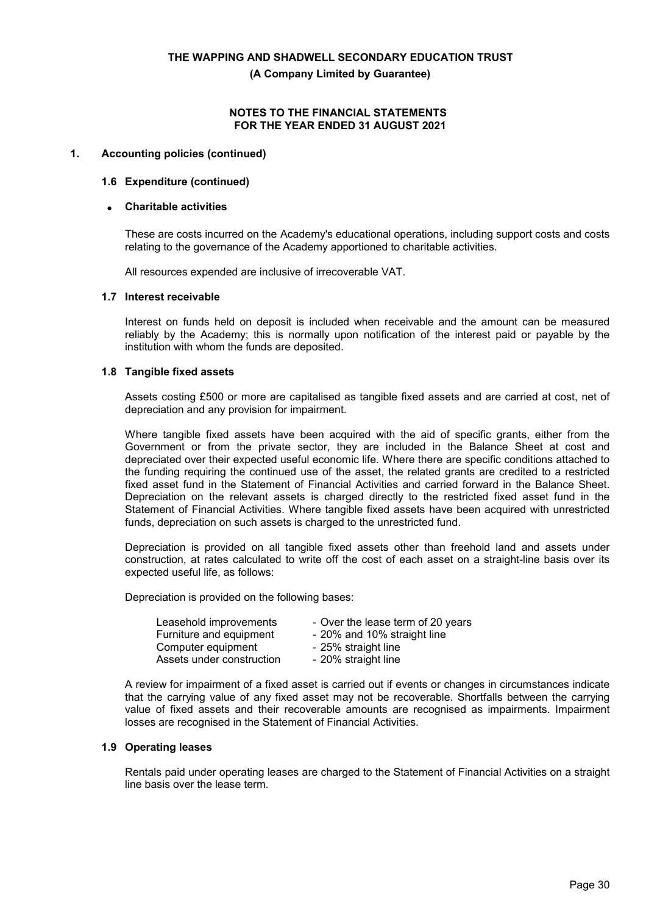**(A Company Limited by Guarantee)**

#### **NOTES TO THE FINANCIAL STATEMENTS FOR THE YEAR ENDED 31 AUGUST 2021**

#### **1. Accounting policies (continued)**

#### **1.6 Expenditure (continued)**

#### • **Charitable activities**

These are costs incurred on the Academy's educational operations, including support costs and costs relating to the governance of the Academy apportioned to charitable activities.

All resources expended are inclusive of irrecoverable VAT.

#### **1.7 Interest receivable**

Interest on funds held on deposit is included when receivable and the amount can be measured reliably by the Academy; this is normally upon notification of the interest paid or payable by the institution with whom the funds are deposited.

#### **1.8 Tangible fixed assets**

Assets costing £500 or more are capitalised as tangible fixed assets and are carried at cost, net of depreciation and any provision for impairment.

Where tangible fixed assets have been acquired with the aid of specific grants, either from the Government or from the private sector, they are included in the Balance Sheet at cost and depreciated over their expected useful economic life. Where there are specific conditions attached to the funding requiring the continued use of the asset, the related grants are credited to a restricted fixed asset fund in the Statement of Financial Activities and carried forward in the Balance Sheet. Depreciation on the relevant assets is charged directly to the restricted fixed asset fund in the Statement of Financial Activities. Where tangible fixed assets have been acquired with unrestricted funds, depreciation on such assets is charged to the unrestricted fund.

Depreciation is provided on all tangible fixed assets other than freehold land and assets under construction, at rates calculated to write off the cost of each asset on a straight-line basis over its expected useful life, as follows:

Depreciation is provided on the following bases:

| Leasehold improvements    | - Over the lease term of 20 years |
|---------------------------|-----------------------------------|
| Furniture and equipment   | - 20% and 10% straight line       |
| Computer equipment        | - 25% straight line               |
| Assets under construction | - 20% straight line               |

A review for impairment of a fixed asset is carried out if events or changes in circumstances indicate that the carrying value of any fixed asset may not be recoverable. Shortfalls between the carrying value of fixed assets and their recoverable amounts are recognised as impairments. Impairment losses are recognised in the Statement of Financial Activities.

#### **1.9 Operating leases**

Rentals paid under operating leases are charged to the Statement of Financial Activities on a straight line basis over the lease term.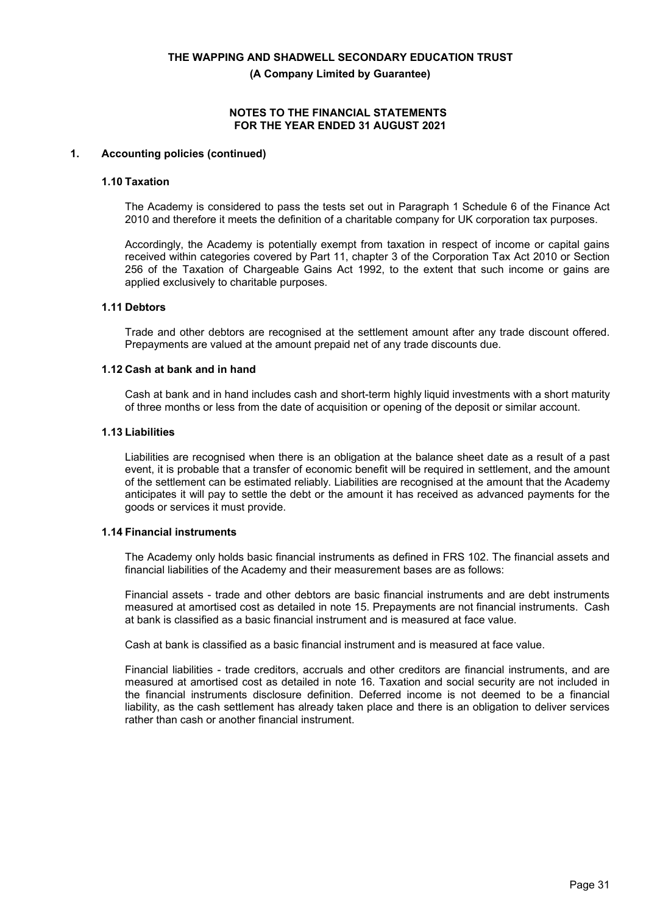**(A Company Limited by Guarantee)**

#### **NOTES TO THE FINANCIAL STATEMENTS FOR THE YEAR ENDED 31 AUGUST 2021**

#### **1. Accounting policies (continued)**

#### **1.10 Taxation**

The Academy is considered to pass the tests set out in Paragraph 1 Schedule 6 of the Finance Act 2010 and therefore it meets the definition of a charitable company for UK corporation tax purposes.

Accordingly, the Academy is potentially exempt from taxation in respect of income or capital gains received within categories covered by Part 11, chapter 3 of the Corporation Tax Act 2010 or Section 256 of the Taxation of Chargeable Gains Act 1992, to the extent that such income or gains are applied exclusively to charitable purposes.

#### **1.11 Debtors**

Trade and other debtors are recognised at the settlement amount after any trade discount offered. Prepayments are valued at the amount prepaid net of any trade discounts due.

#### **1.12 Cash at bank and in hand**

Cash at bank and in hand includes cash and short-term highly liquid investments with a short maturity of three months or less from the date of acquisition or opening of the deposit or similar account.

#### **1.13 Liabilities**

Liabilities are recognised when there is an obligation at the balance sheet date as a result of a past event, it is probable that a transfer of economic benefit will be required in settlement, and the amount of the settlement can be estimated reliably. Liabilities are recognised at the amount that the Academy anticipates it will pay to settle the debt or the amount it has received as advanced payments for the goods or services it must provide.

#### **1.14 Financial instruments**

The Academy only holds basic financial instruments as defined in FRS 102. The financial assets and financial liabilities of the Academy and their measurement bases are as follows:

Financial assets - trade and other debtors are basic financial instruments and are debt instruments measured at amortised cost as detailed in note 15. Prepayments are not financial instruments. Cash at bank is classified as a basic financial instrument and is measured at face value.

Cash at bank is classified as a basic financial instrument and is measured at face value.

Financial liabilities - trade creditors, accruals and other creditors are financial instruments, and are measured at amortised cost as detailed in note 16. Taxation and social security are not included in the financial instruments disclosure definition. Deferred income is not deemed to be a financial liability, as the cash settlement has already taken place and there is an obligation to deliver services rather than cash or another financial instrument.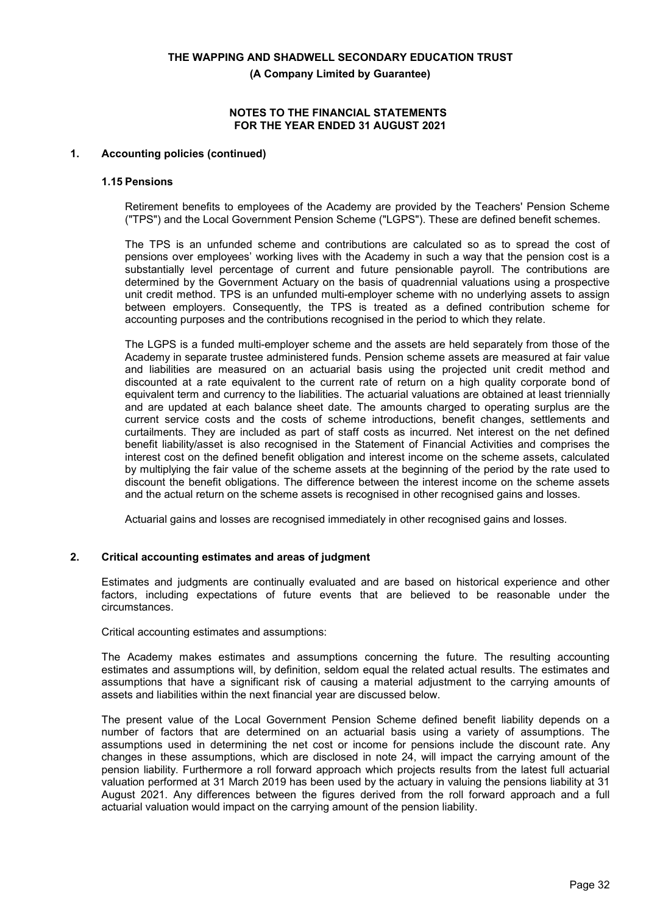**(A Company Limited by Guarantee)**

#### **NOTES TO THE FINANCIAL STATEMENTS FOR THE YEAR ENDED 31 AUGUST 2021**

#### **1. Accounting policies (continued)**

#### **1.15 Pensions**

Retirement benefits to employees of the Academy are provided by the Teachers' Pension Scheme ("TPS") and the Local Government Pension Scheme ("LGPS"). These are defined benefit schemes.

The TPS is an unfunded scheme and contributions are calculated so as to spread the cost of pensions over employees' working lives with the Academy in such a way that the pension cost is a substantially level percentage of current and future pensionable payroll. The contributions are determined by the Government Actuary on the basis of quadrennial valuations using a prospective unit credit method. TPS is an unfunded multi-employer scheme with no underlying assets to assign between employers. Consequently, the TPS is treated as a defined contribution scheme for accounting purposes and the contributions recognised in the period to which they relate.

The LGPS is a funded multi-employer scheme and the assets are held separately from those of the Academy in separate trustee administered funds. Pension scheme assets are measured at fair value and liabilities are measured on an actuarial basis using the projected unit credit method and discounted at a rate equivalent to the current rate of return on a high quality corporate bond of equivalent term and currency to the liabilities. The actuarial valuations are obtained at least triennially and are updated at each balance sheet date. The amounts charged to operating surplus are the current service costs and the costs of scheme introductions, benefit changes, settlements and curtailments. They are included as part of staff costs as incurred. Net interest on the net defined benefit liability/asset is also recognised in the Statement of Financial Activities and comprises the interest cost on the defined benefit obligation and interest income on the scheme assets, calculated by multiplying the fair value of the scheme assets at the beginning of the period by the rate used to discount the benefit obligations. The difference between the interest income on the scheme assets and the actual return on the scheme assets is recognised in other recognised gains and losses.

Actuarial gains and losses are recognised immediately in other recognised gains and losses.

#### **2. Critical accounting estimates and areas of judgment**

Estimates and judgments are continually evaluated and are based on historical experience and other factors, including expectations of future events that are believed to be reasonable under the circumstances.

Critical accounting estimates and assumptions:

The Academy makes estimates and assumptions concerning the future. The resulting accounting estimates and assumptions will, by definition, seldom equal the related actual results. The estimates and assumptions that have a significant risk of causing a material adjustment to the carrying amounts of assets and liabilities within the next financial year are discussed below.

The present value of the Local Government Pension Scheme defined benefit liability depends on a number of factors that are determined on an actuarial basis using a variety of assumptions. The assumptions used in determining the net cost or income for pensions include the discount rate. Any changes in these assumptions, which are disclosed in note 24, will impact the carrying amount of the pension liability. Furthermore a roll forward approach which projects results from the latest full actuarial valuation performed at 31 March 2019 has been used by the actuary in valuing the pensions liability at 31 August 2021. Any differences between the figures derived from the roll forward approach and a full actuarial valuation would impact on the carrying amount of the pension liability.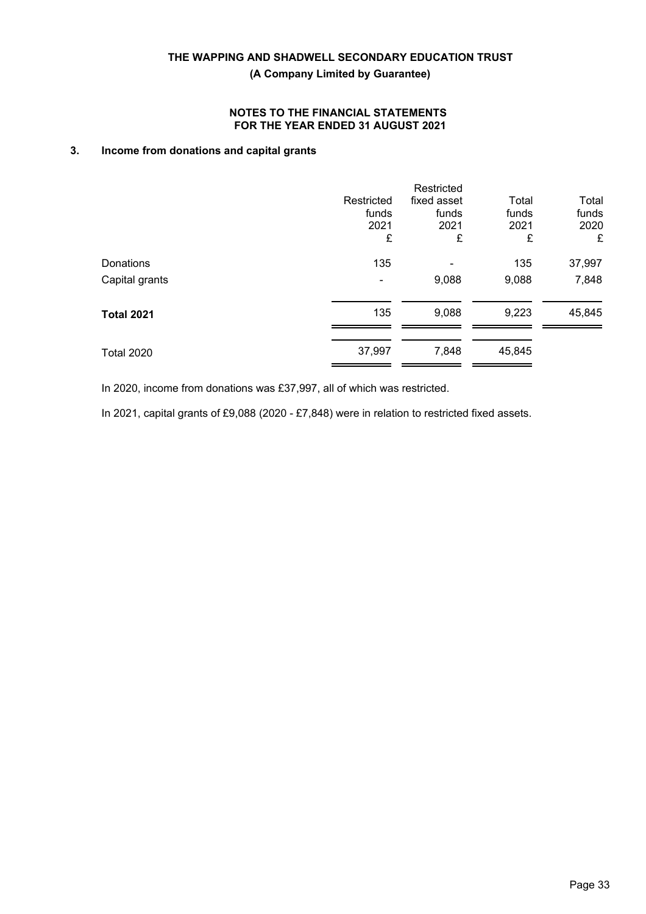**(A Company Limited by Guarantee)**

## **NOTES TO THE FINANCIAL STATEMENTS FOR THE YEAR ENDED 31 AUGUST 2021**

## **3. Income from donations and capital grants**

|                   | Restricted<br>funds<br>2021<br>£ | Restricted<br>fixed asset<br>funds<br>2021<br>£ | Total<br>funds<br>2021<br>£ | Total<br>funds<br>2020<br>£ |
|-------------------|----------------------------------|-------------------------------------------------|-----------------------------|-----------------------------|
| Donations         | 135                              |                                                 | 135                         | 37,997                      |
| Capital grants    |                                  | 9,088                                           | 9,088                       | 7,848                       |
| <b>Total 2021</b> | 135                              | 9,088                                           | 9,223                       | 45,845                      |
| <b>Total 2020</b> | 37,997                           | 7,848                                           | 45,845                      |                             |

In 2020, income from donations was £37,997, all of which was restricted.

In 2021, capital grants of £9,088 (2020 - £7,848) were in relation to restricted fixed assets.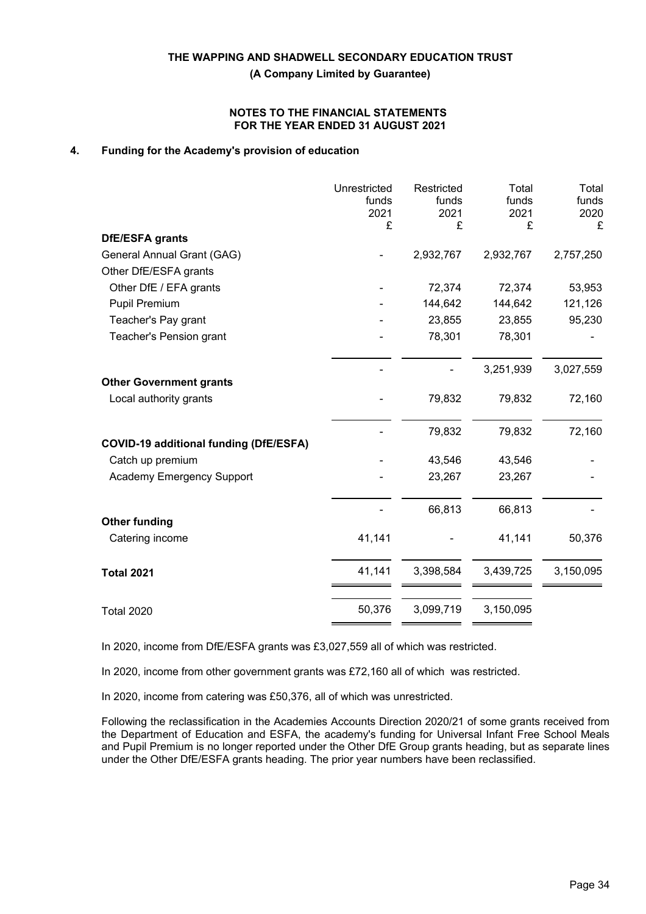**(A Company Limited by Guarantee)**

#### **NOTES TO THE FINANCIAL STATEMENTS FOR THE YEAR ENDED 31 AUGUST 2021**

## **4. Funding for the Academy's provision of education**

|                                               | Unrestricted<br>funds<br>2021<br>£ | Restricted<br>funds<br>2021<br>£ | Total<br>funds<br>2021<br>£ | Total<br>funds<br>2020<br>£ |
|-----------------------------------------------|------------------------------------|----------------------------------|-----------------------------|-----------------------------|
| <b>DfE/ESFA grants</b>                        |                                    |                                  |                             |                             |
| General Annual Grant (GAG)                    |                                    | 2,932,767                        | 2,932,767                   | 2,757,250                   |
| Other DfE/ESFA grants                         |                                    |                                  |                             |                             |
| Other DfE / EFA grants                        |                                    | 72,374                           | 72,374                      | 53,953                      |
| <b>Pupil Premium</b>                          |                                    | 144,642                          | 144,642                     | 121,126                     |
| Teacher's Pay grant                           |                                    | 23,855                           | 23,855                      | 95,230                      |
| Teacher's Pension grant                       |                                    | 78,301                           | 78,301                      |                             |
|                                               |                                    |                                  | 3,251,939                   | 3,027,559                   |
| <b>Other Government grants</b>                |                                    |                                  |                             |                             |
| Local authority grants                        |                                    | 79,832                           | 79,832                      | 72,160                      |
|                                               |                                    | 79,832                           | 79,832                      | 72,160                      |
| <b>COVID-19 additional funding (DfE/ESFA)</b> |                                    | 43,546                           | 43,546                      |                             |
| Catch up premium                              |                                    |                                  |                             |                             |
| Academy Emergency Support                     |                                    | 23,267                           | 23,267                      |                             |
|                                               |                                    | 66,813                           | 66,813                      |                             |
| <b>Other funding</b><br>Catering income       | 41,141                             |                                  | 41,141                      | 50,376                      |
| <b>Total 2021</b>                             | 41,141                             | 3,398,584                        | 3,439,725                   | 3,150,095                   |
| <b>Total 2020</b>                             | 50,376                             | 3,099,719                        | 3,150,095                   |                             |

In 2020, income from DfE/ESFA grants was £3,027,559 all of which was restricted.

In 2020, income from other government grants was £72,160 all of which was restricted.

In 2020, income from catering was £50,376, all of which was unrestricted.

Following the reclassification in the Academies Accounts Direction 2020/21 of some grants received from the Department of Education and ESFA, the academy's funding for Universal Infant Free School Meals and Pupil Premium is no longer reported under the Other DfE Group grants heading, but as separate lines under the Other DfE/ESFA grants heading. The prior year numbers have been reclassified.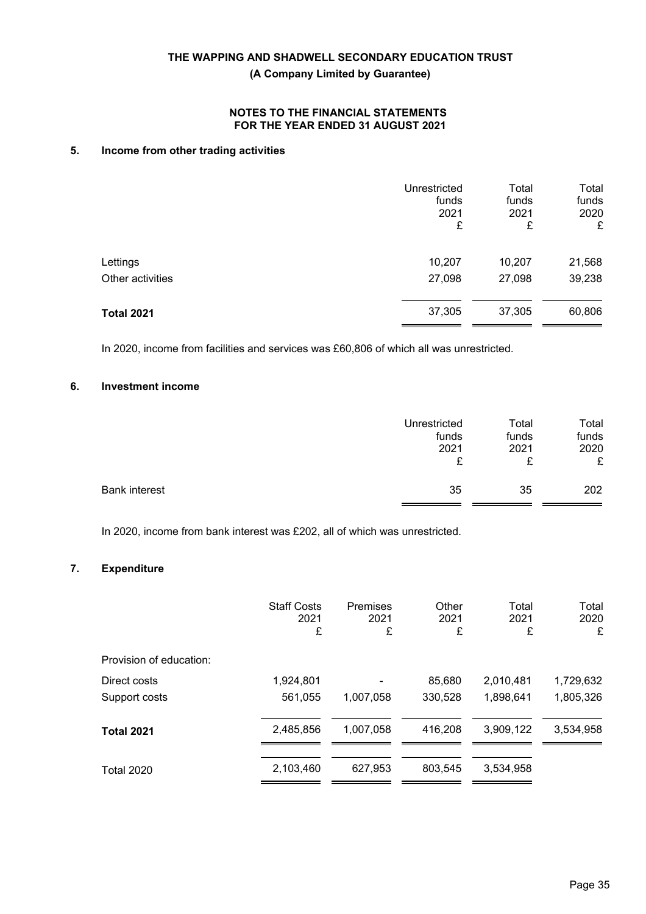**(A Company Limited by Guarantee)**

## **NOTES TO THE FINANCIAL STATEMENTS FOR THE YEAR ENDED 31 AUGUST 2021**

## **5. Income from other trading activities**

|                   | Unrestricted<br>funds<br>2021<br>£ | Total<br>funds<br>2021<br>£ | Total<br>funds<br>2020<br>£ |
|-------------------|------------------------------------|-----------------------------|-----------------------------|
| Lettings          | 10,207                             | 10,207                      | 21,568                      |
| Other activities  | 27,098                             | 27,098                      | 39,238                      |
| <b>Total 2021</b> | 37,305                             | 37,305                      | 60,806                      |

In 2020, income from facilities and services was £60,806 of which all was unrestricted.

## **6. Investment income**

|                      | Unrestricted | Total | Total |
|----------------------|--------------|-------|-------|
|                      | funds        | funds | funds |
|                      | 2021         | 2021  | 2020  |
|                      | £            | £     | £     |
| <b>Bank interest</b> | 35           | 35    | 202   |

In 2020, income from bank interest was £202, all of which was unrestricted.

## **7. Expenditure**

|                         | <b>Staff Costs</b><br>2021<br>£ | Premises<br>2021<br>£ | Other<br>2021<br>£ | Total<br>2021<br>£ | Total<br>2020<br>£ |
|-------------------------|---------------------------------|-----------------------|--------------------|--------------------|--------------------|
| Provision of education: |                                 |                       |                    |                    |                    |
| Direct costs            | 1,924,801                       |                       | 85,680             | 2,010,481          | 1,729,632          |
| Support costs           | 561,055                         | 1,007,058             | 330,528            | 1,898,641          | 1,805,326          |
| <b>Total 2021</b>       | 2,485,856                       | 1,007,058             | 416,208            | 3,909,122          | 3,534,958          |
| <b>Total 2020</b>       | 2,103,460                       | 627,953               | 803.545            | 3,534,958          |                    |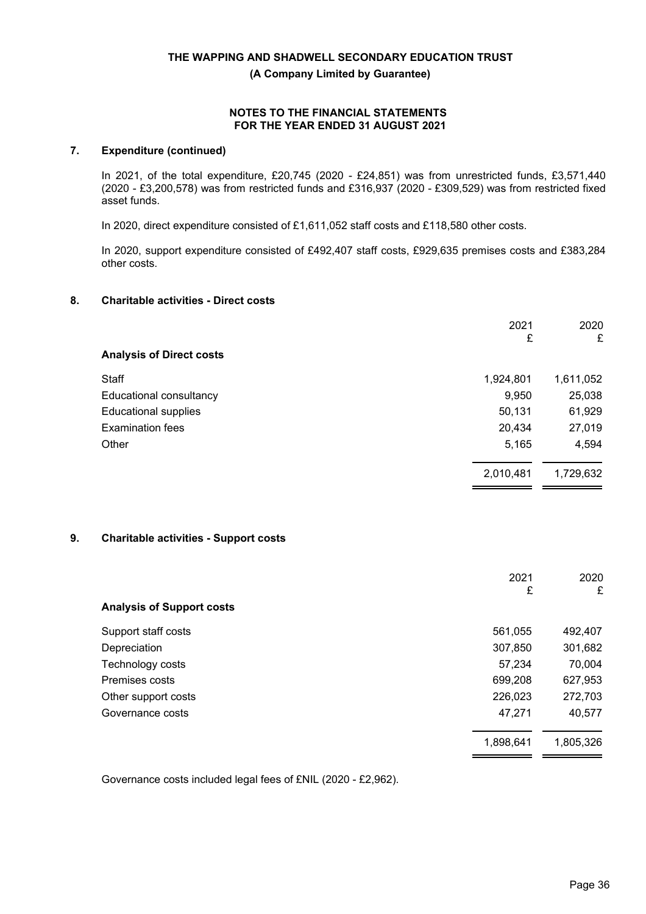**(A Company Limited by Guarantee)**

#### **NOTES TO THE FINANCIAL STATEMENTS FOR THE YEAR ENDED 31 AUGUST 2021**

## **7. Expenditure (continued)**

In 2021, of the total expenditure, £20,745 (2020 - £24,851) was from unrestricted funds, £3,571,440 (2020 - £3,200,578) was from restricted funds and £316,937 (2020 - £309,529) was from restricted fixed asset funds.

In 2020, direct expenditure consisted of £1,611,052 staff costs and £118,580 other costs.

In 2020, support expenditure consisted of £492,407 staff costs, £929,635 premises costs and £383,284 other costs.

## **8. Charitable activities - Direct costs**

|                                 | 2021      | 2020      |
|---------------------------------|-----------|-----------|
|                                 | £         | £         |
| <b>Analysis of Direct costs</b> |           |           |
| Staff                           | 1,924,801 | 1,611,052 |
| Educational consultancy         | 9,950     | 25,038    |
| <b>Educational supplies</b>     | 50,131    | 61,929    |
| <b>Examination fees</b>         | 20,434    | 27,019    |
| Other                           | 5,165     | 4,594     |
|                                 | 2,010,481 | 1,729,632 |

## **9. Charitable activities - Support costs**

|                                  | 2021      | 2020      |
|----------------------------------|-----------|-----------|
| <b>Analysis of Support costs</b> | £         | £         |
| Support staff costs              | 561,055   | 492,407   |
| Depreciation                     | 307,850   | 301,682   |
| Technology costs                 | 57,234    | 70,004    |
| Premises costs                   | 699,208   | 627,953   |
| Other support costs              | 226,023   | 272,703   |
| Governance costs                 | 47,271    | 40,577    |
|                                  | 1,898,641 | 1,805,326 |

Governance costs included legal fees of £NIL (2020 - £2,962).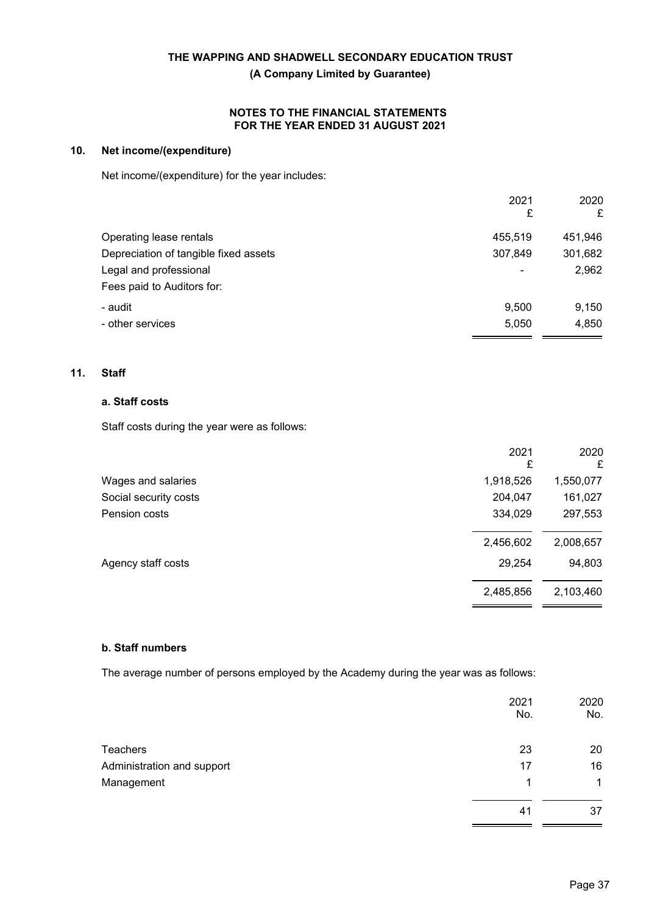**(A Company Limited by Guarantee)**

## **NOTES TO THE FINANCIAL STATEMENTS FOR THE YEAR ENDED 31 AUGUST 2021**

## **10. Net income/(expenditure)**

Net income/(expenditure) for the year includes:

|                                       | 2021<br>£      | 2020<br>£ |
|---------------------------------------|----------------|-----------|
| Operating lease rentals               | 455,519        | 451,946   |
| Depreciation of tangible fixed assets | 307,849        | 301,682   |
| Legal and professional                | $\overline{a}$ | 2,962     |
| Fees paid to Auditors for:            |                |           |
| - audit                               | 9,500          | 9,150     |
| - other services                      | 5,050          | 4,850     |

## **11. Staff**

## **a. Staff costs**

Staff costs during the year were as follows:

|                       | 2021<br>£ | 2020<br>£ |
|-----------------------|-----------|-----------|
| Wages and salaries    | 1,918,526 | 1,550,077 |
| Social security costs | 204,047   | 161,027   |
| Pension costs         | 334,029   | 297,553   |
|                       | 2,456,602 | 2,008,657 |
| Agency staff costs    | 29,254    | 94,803    |
|                       | 2,485,856 | 2,103,460 |
|                       |           |           |

## **b. Staff numbers**

The average number of persons employed by the Academy during the year was as follows:

|                            | 2021<br>No. | 2020<br>No. |
|----------------------------|-------------|-------------|
| Teachers                   | 23          | 20          |
| Administration and support | 17          | 16          |
| Management                 |             | $\mathbf 1$ |
|                            | 41          | 37          |
|                            |             |             |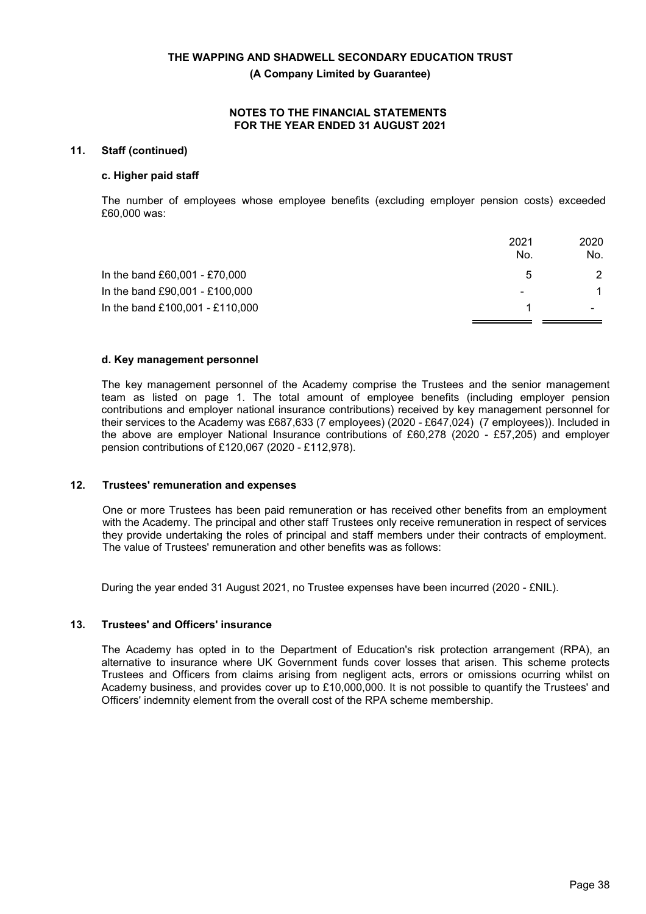**(A Company Limited by Guarantee)**

#### **NOTES TO THE FINANCIAL STATEMENTS FOR THE YEAR ENDED 31 AUGUST 2021**

## **11. Staff (continued)**

#### **c. Higher paid staff**

The number of employees whose employee benefits (excluding employer pension costs) exceeded £60,000 was:

|                                 | 2021                     | 2020 |
|---------------------------------|--------------------------|------|
|                                 | No.                      | No.  |
| In the band £60,001 - £70,000   | 5                        | 2    |
| In the band £90,001 - £100,000  | $\overline{\phantom{0}}$ |      |
| In the band £100,001 - £110,000 |                          |      |
|                                 |                          |      |

#### **d. Key management personnel**

The key management personnel of the Academy comprise the Trustees and the senior management team as listed on page 1. The total amount of employee benefits (including employer pension contributions and employer national insurance contributions) received by key management personnel for their services to the Academy was £687,633 (7 employees) (2020 *-* £647,024) (7 employees)). Included in the above are employer National Insurance contributions of £60,278 (2020 - £57,205) and employer pension contributions of £120,067 (2020 - £112,978).

#### **12. Trustees' remuneration and expenses**

One or more Trustees has been paid remuneration or has received other benefits from an employment with the Academy. The principal and other staff Trustees only receive remuneration in respect of services they provide undertaking the roles of principal and staff members under their contracts of employment. The value of Trustees' remuneration and other benefits was as follows:

During the year ended 31 August 2021, no Trustee expenses have been incurred (2020 - £NIL).

#### **13. Trustees' and Officers' insurance**

The Academy has opted in to the Department of Education's risk protection arrangement (RPA), an alternative to insurance where UK Government funds cover losses that arisen. This scheme protects Trustees and Officers from claims arising from negligent acts, errors or omissions ocurring whilst on Academy business, and provides cover up to £10,000,000. It is not possible to quantify the Trustees' and Officers' indemnity element from the overall cost of the RPA scheme membership.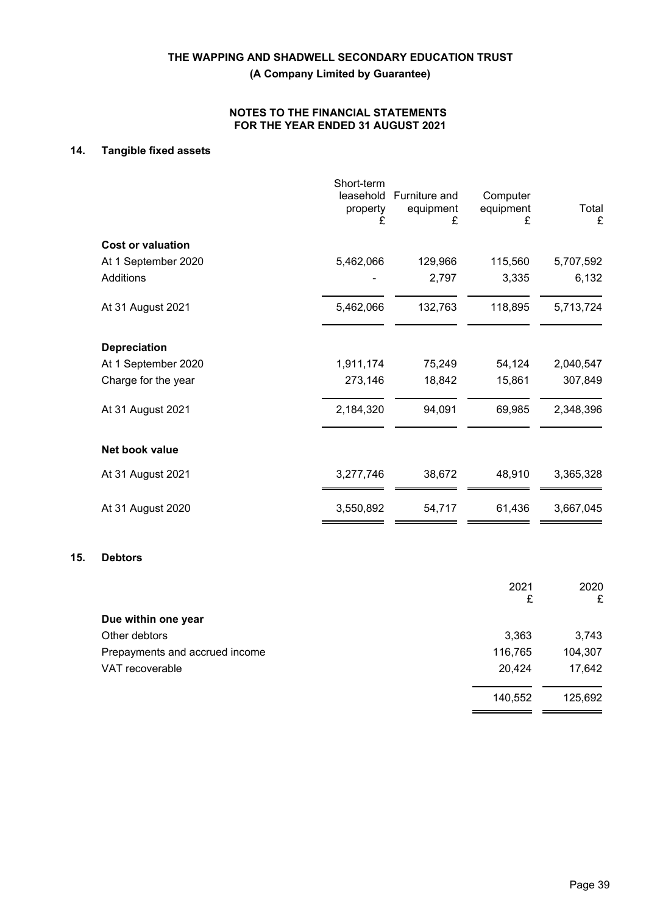**(A Company Limited by Guarantee)**

## **NOTES TO THE FINANCIAL STATEMENTS FOR THE YEAR ENDED 31 AUGUST 2021**

## **14. Tangible fixed assets**

|                          | Short-term<br>leasehold<br>property<br>£ | Furniture and<br>equipment<br>£ | Computer<br>equipment<br>£ | Total<br>£ |
|--------------------------|------------------------------------------|---------------------------------|----------------------------|------------|
| <b>Cost or valuation</b> |                                          |                                 |                            |            |
| At 1 September 2020      | 5,462,066                                | 129,966                         | 115,560                    | 5,707,592  |
| Additions                |                                          | 2,797                           | 3,335                      | 6,132      |
| At 31 August 2021        | 5,462,066                                | 132,763                         | 118,895                    | 5,713,724  |
| <b>Depreciation</b>      |                                          |                                 |                            |            |
| At 1 September 2020      | 1,911,174                                | 75,249                          | 54,124                     | 2,040,547  |
| Charge for the year      | 273,146                                  | 18,842                          | 15,861                     | 307,849    |
| At 31 August 2021        | 2,184,320                                | 94,091                          | 69,985                     | 2,348,396  |
| Net book value           |                                          |                                 |                            |            |
| At 31 August 2021        | 3,277,746                                | 38,672                          | 48,910                     | 3,365,328  |
| At 31 August 2020        | 3,550,892                                | 54,717                          | 61,436                     | 3,667,045  |
|                          |                                          |                                 |                            |            |

### **15. Debtors**

|                                | 2021<br>£ | 2020<br>£ |
|--------------------------------|-----------|-----------|
| Due within one year            |           |           |
| Other debtors                  | 3,363     | 3,743     |
| Prepayments and accrued income | 116,765   | 104,307   |
| VAT recoverable                | 20,424    | 17,642    |
|                                | 140,552   | 125,692   |

 $=$   $=$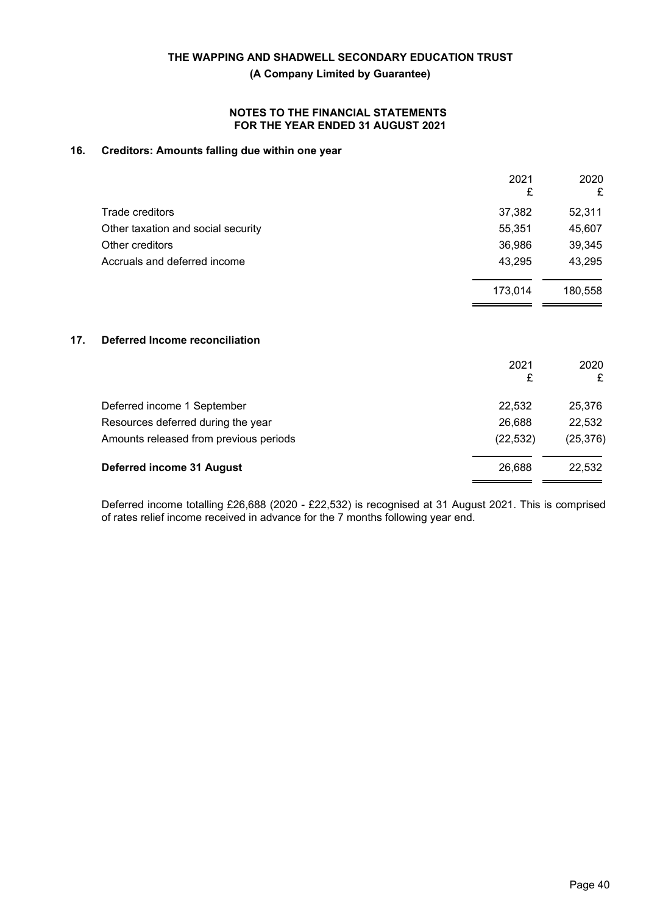**(A Company Limited by Guarantee)**

### **NOTES TO THE FINANCIAL STATEMENTS FOR THE YEAR ENDED 31 AUGUST 2021**

## **16. Creditors: Amounts falling due within one year**

|                                    | 2021<br>£ | 2020<br>£ |
|------------------------------------|-----------|-----------|
| Trade creditors                    | 37,382    | 52,311    |
| Other taxation and social security | 55,351    | 45,607    |
| Other creditors                    | 36,986    | 39,345    |
| Accruals and deferred income       | 43,295    | 43,295    |
|                                    | 173,014   | 180,558   |

## **17. Deferred Income reconciliation**

|                                        | 2021<br>£ | 2020<br>£ |
|----------------------------------------|-----------|-----------|
| Deferred income 1 September            | 22,532    | 25,376    |
| Resources deferred during the year     | 26,688    | 22,532    |
| Amounts released from previous periods | (22, 532) | (25, 376) |
| Deferred income 31 August              | 26.688    | 22,532    |

Deferred income totalling £26,688 (2020 - £22,532) is recognised at 31 August 2021. This is comprised of rates relief income received in advance for the 7 months following year end.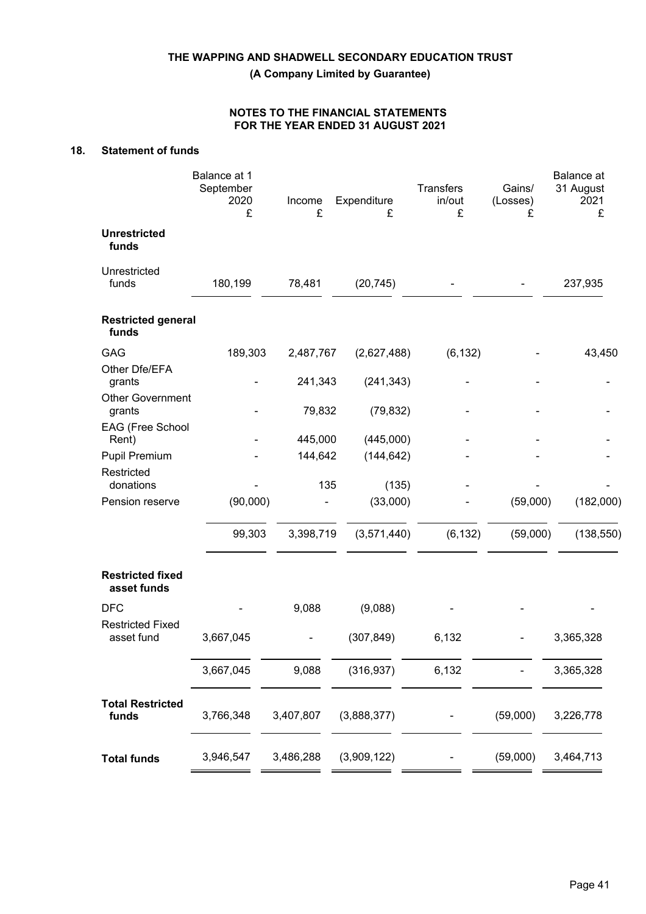**(A Company Limited by Guarantee)**

## **NOTES TO THE FINANCIAL STATEMENTS FOR THE YEAR ENDED 31 AUGUST 2021**

## **18. Statement of funds**

|                                        | Balance at 1<br>September<br>2020<br>£ | Income<br>£ | Expenditure<br>£ | <b>Transfers</b><br>in/out<br>£ | Gains/<br>(Losses)<br>£ | Balance at<br>31 August<br>2021<br>£ |
|----------------------------------------|----------------------------------------|-------------|------------------|---------------------------------|-------------------------|--------------------------------------|
| <b>Unrestricted</b><br>funds           |                                        |             |                  |                                 |                         |                                      |
| Unrestricted<br>funds                  | 180,199                                | 78,481      | (20, 745)        |                                 |                         | 237,935                              |
| <b>Restricted general</b><br>funds     |                                        |             |                  |                                 |                         |                                      |
| GAG                                    | 189,303                                | 2,487,767   | (2,627,488)      | (6, 132)                        |                         | 43,450                               |
| Other Dfe/EFA<br>grants                |                                        | 241,343     | (241, 343)       |                                 |                         |                                      |
| <b>Other Government</b><br>grants      |                                        | 79,832      | (79, 832)        |                                 |                         |                                      |
| EAG (Free School<br>Rent)              |                                        | 445,000     | (445,000)        |                                 |                         |                                      |
| Pupil Premium                          |                                        | 144,642     | (144, 642)       |                                 |                         |                                      |
| Restricted<br>donations                |                                        | 135         | (135)            |                                 |                         |                                      |
| Pension reserve                        | (90,000)                               |             | (33,000)         |                                 | (59,000)                | (182,000)                            |
|                                        | 99,303                                 | 3,398,719   | (3,571,440)      | (6, 132)                        | (59,000)                | (138, 550)                           |
| <b>Restricted fixed</b><br>asset funds |                                        |             |                  |                                 |                         |                                      |
| <b>DFC</b>                             |                                        | 9,088       | (9,088)          |                                 |                         |                                      |
| <b>Restricted Fixed</b><br>asset fund  | 3,667,045                              |             | (307, 849)       | 6,132                           |                         | 3,365,328                            |
|                                        | 3,667,045                              | 9,088       | (316, 937)       | 6,132                           |                         | 3,365,328                            |
| <b>Total Restricted</b><br>funds       | 3,766,348                              | 3,407,807   | (3,888,377)      |                                 | (59,000)                | 3,226,778                            |
| <b>Total funds</b>                     | 3,946,547                              | 3,486,288   | (3,909,122)      |                                 | (59,000)                | 3,464,713                            |
|                                        |                                        |             |                  |                                 |                         |                                      |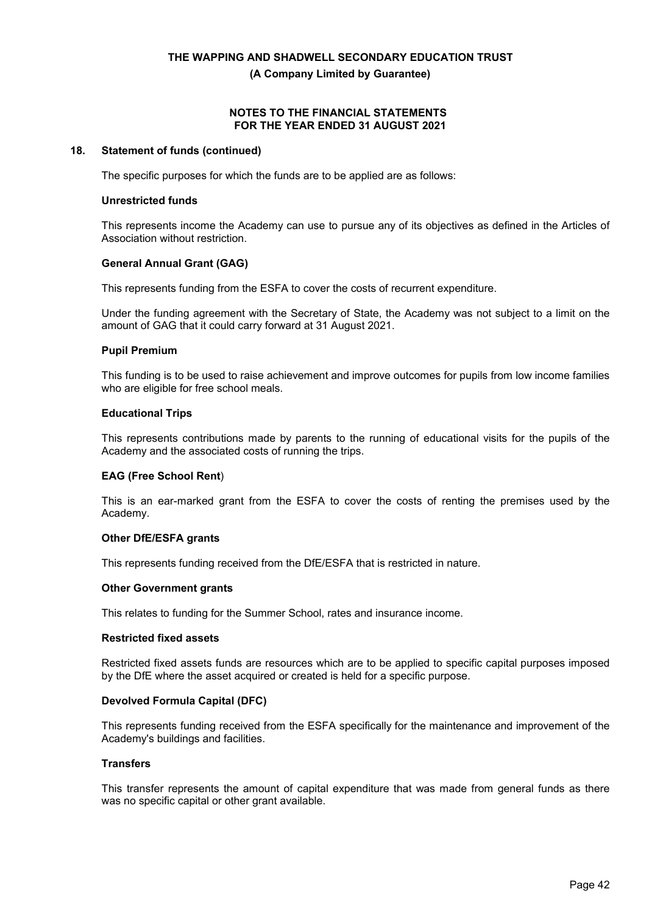**(A Company Limited by Guarantee)**

#### **NOTES TO THE FINANCIAL STATEMENTS FOR THE YEAR ENDED 31 AUGUST 2021**

#### **18. Statement of funds (continued)**

The specific purposes for which the funds are to be applied are as follows:

#### **Unrestricted funds**

This represents income the Academy can use to pursue any of its objectives as defined in the Articles of Association without restriction.

#### **General Annual Grant (GAG)**

This represents funding from the ESFA to cover the costs of recurrent expenditure.

Under the funding agreement with the Secretary of State, the Academy was not subject to a limit on the amount of GAG that it could carry forward at 31 August 2021.

#### **Pupil Premium**

This funding is to be used to raise achievement and improve outcomes for pupils from low income families who are eligible for free school meals.

#### **Educational Trips**

This represents contributions made by parents to the running of educational visits for the pupils of the Academy and the associated costs of running the trips.

## **EAG (Free School Rent**)

This is an ear-marked grant from the ESFA to cover the costs of renting the premises used by the Academy.

## **Other DfE/ESFA grants**

This represents funding received from the DfE/ESFA that is restricted in nature.

## **Other Government grants**

This relates to funding for the Summer School, rates and insurance income.

#### **Restricted fixed assets**

Restricted fixed assets funds are resources which are to be applied to specific capital purposes imposed by the DfE where the asset acquired or created is held for a specific purpose.

## **Devolved Formula Capital (DFC)**

This represents funding received from the ESFA specifically for the maintenance and improvement of the Academy's buildings and facilities.

#### **Transfers**

This transfer represents the amount of capital expenditure that was made from general funds as there was no specific capital or other grant available.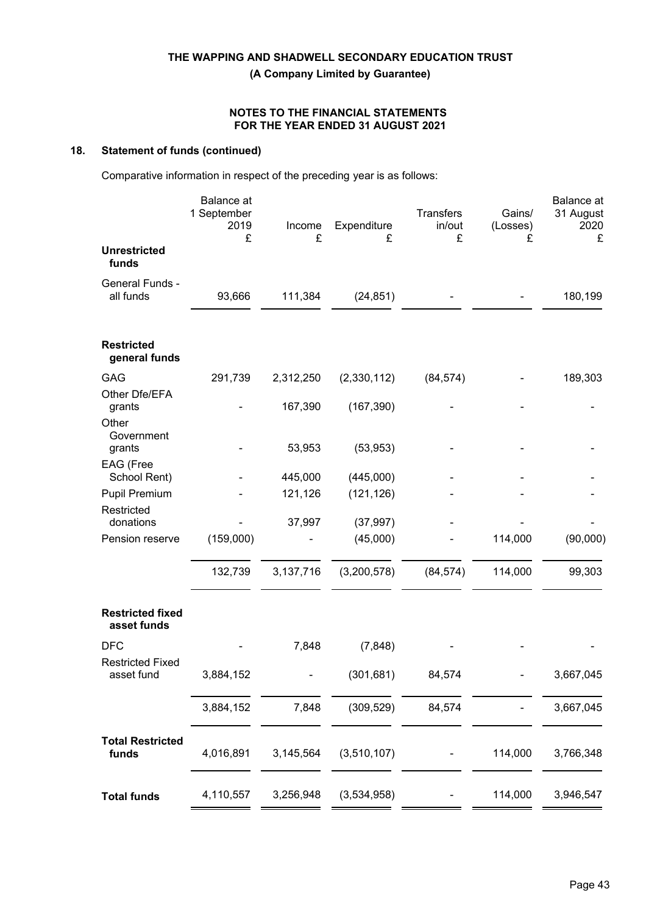**(A Company Limited by Guarantee)**

## **NOTES TO THE FINANCIAL STATEMENTS FOR THE YEAR ENDED 31 AUGUST 2021**

## **18. Statement of funds (continued)**

Comparative information in respect of the preceding year is as follows:

|                                        | <b>Balance</b> at<br>1 September<br>2019<br>£ | Income<br>£ | Expenditure<br>£ | Transfers<br>in/out<br>£ | Gains/<br>(Losses)<br>£ | Balance at<br>31 August<br>2020<br>£ |
|----------------------------------------|-----------------------------------------------|-------------|------------------|--------------------------|-------------------------|--------------------------------------|
| <b>Unrestricted</b><br>funds           |                                               |             |                  |                          |                         |                                      |
| General Funds -<br>all funds           | 93,666                                        | 111,384     | (24, 851)        |                          |                         | 180,199                              |
| <b>Restricted</b><br>general funds     |                                               |             |                  |                          |                         |                                      |
| GAG<br>Other Dfe/EFA                   | 291,739                                       | 2,312,250   | (2,330,112)      | (84, 574)                |                         | 189,303                              |
| grants<br>Other<br>Government          |                                               | 167,390     | (167, 390)       |                          |                         |                                      |
| grants                                 |                                               | 53,953      | (53, 953)        |                          |                         |                                      |
| EAG (Free<br>School Rent)              |                                               | 445,000     | (445,000)        |                          |                         |                                      |
| <b>Pupil Premium</b>                   |                                               | 121,126     | (121, 126)       |                          |                         |                                      |
| Restricted<br>donations                |                                               | 37,997      | (37, 997)        |                          |                         |                                      |
| Pension reserve                        | (159,000)                                     |             | (45,000)         |                          | 114,000                 | (90,000)                             |
|                                        | 132,739                                       | 3,137,716   | (3,200,578)      | (84, 574)                | 114,000                 | 99,303                               |
| <b>Restricted fixed</b><br>asset funds |                                               |             |                  |                          |                         |                                      |
| <b>DFC</b>                             |                                               | 7,848       | (7, 848)         |                          |                         |                                      |
| <b>Restricted Fixed</b><br>asset fund  | 3,884,152                                     |             | (301, 681)       | 84,574                   |                         | 3,667,045                            |
|                                        | 3,884,152                                     | 7,848       | (309, 529)       | 84,574                   |                         | 3,667,045                            |
| <b>Total Restricted</b><br>funds       | 4,016,891                                     | 3,145,564   | (3,510,107)      |                          | 114,000                 | 3,766,348                            |
| <b>Total funds</b>                     | 4,110,557                                     | 3,256,948   | (3,534,958)      |                          | 114,000                 | 3,946,547                            |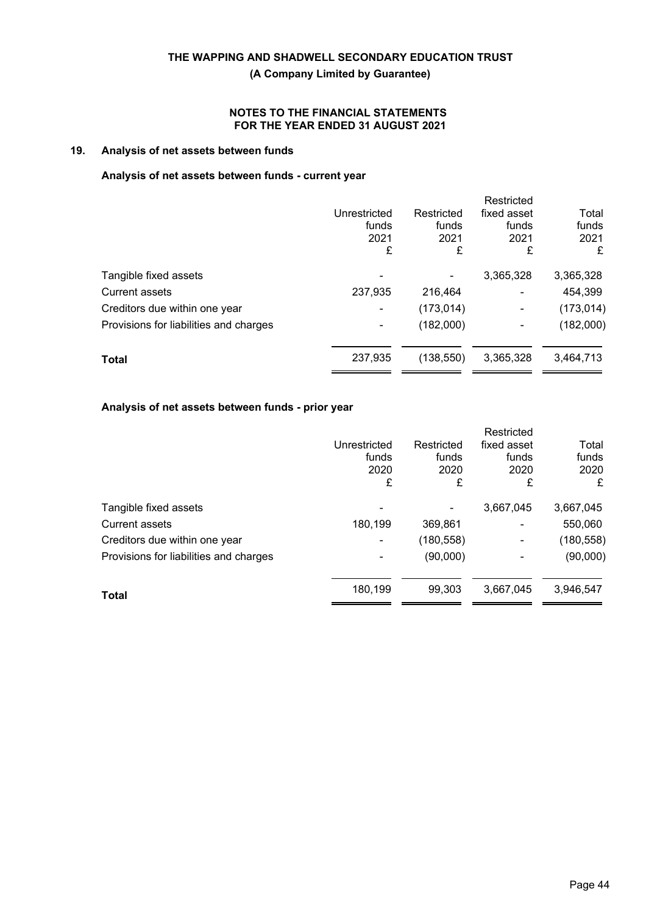**(A Company Limited by Guarantee)**

## **NOTES TO THE FINANCIAL STATEMENTS FOR THE YEAR ENDED 31 AUGUST 2021**

## **19. Analysis of net assets between funds**

#### **Analysis of net assets between funds - current year**

|                                        |              |            | Restricted                   |            |
|----------------------------------------|--------------|------------|------------------------------|------------|
|                                        | Unrestricted | Restricted | fixed asset                  | Total      |
|                                        | funds        | funds      | funds                        | funds      |
|                                        | 2021         | 2021       | 2021                         | 2021       |
|                                        | £            | £          | £                            | £          |
| Tangible fixed assets                  |              |            | 3,365,328                    | 3,365,328  |
| <b>Current assets</b>                  | 237,935      | 216,464    | $\qquad \qquad \blacksquare$ | 454,399    |
| Creditors due within one year          |              | (173, 014) | $\blacksquare$               | (173, 014) |
| Provisions for liabilities and charges |              | (182,000)  | ۰                            | (182,000)  |
| <b>Total</b>                           | 237,935      | (138, 550) | 3,365,328                    | 3,464,713  |
|                                        |              |            |                              |            |

## **Analysis of net assets between funds - prior year**

|                                        |              |            | Restricted               |            |
|----------------------------------------|--------------|------------|--------------------------|------------|
|                                        | Unrestricted | Restricted | fixed asset              | Total      |
|                                        | funds        | funds      | funds                    | funds      |
|                                        | 2020         | 2020       | 2020                     | 2020       |
|                                        | £            | £          | £                        | £          |
| Tangible fixed assets                  |              |            | 3,667,045                | 3,667,045  |
| <b>Current assets</b>                  | 180,199      | 369,861    | $\overline{\phantom{a}}$ | 550,060    |
| Creditors due within one year          |              | (180, 558) | ۰                        | (180, 558) |
| Provisions for liabilities and charges |              | (90,000)   | ۰                        | (90,000)   |
| Total                                  | 180,199      | 99.303     | 3,667,045                | 3,946,547  |
|                                        |              |            |                          |            |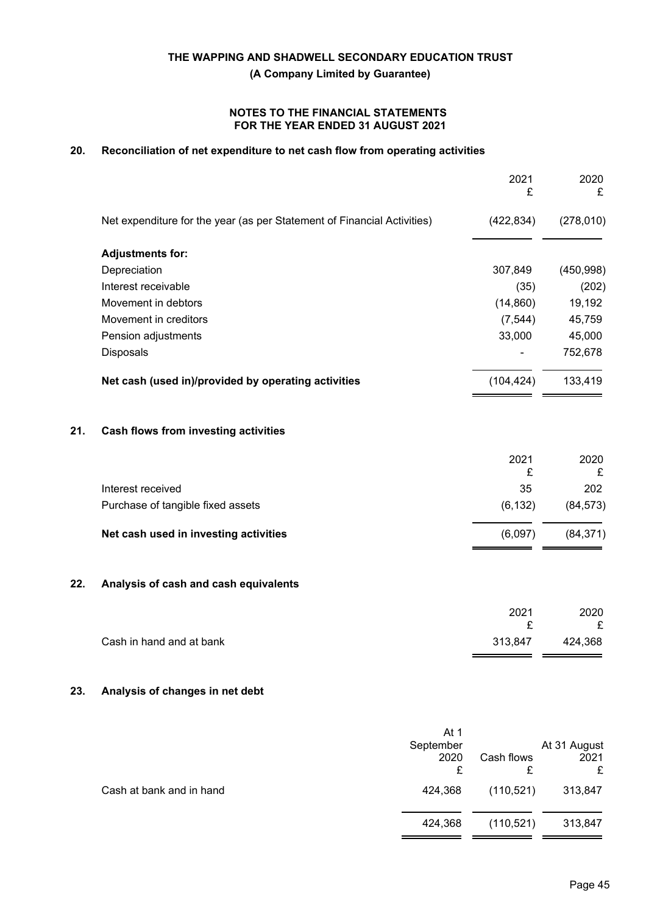**(A Company Limited by Guarantee)**

#### **NOTES TO THE FINANCIAL STATEMENTS FOR THE YEAR ENDED 31 AUGUST 2021**

## **20. Reconciliation of net expenditure to net cash flow from operating activities**

|     |                                                                         | 2021<br>£    | 2020<br>£    |
|-----|-------------------------------------------------------------------------|--------------|--------------|
|     | Net expenditure for the year (as per Statement of Financial Activities) | (422, 834)   | (278, 010)   |
|     | <b>Adjustments for:</b>                                                 |              |              |
|     | Depreciation                                                            | 307,849      | (450, 998)   |
|     | Interest receivable                                                     | (35)         | (202)        |
|     | Movement in debtors                                                     | (14, 860)    | 19,192       |
|     | Movement in creditors                                                   | (7, 544)     | 45,759       |
|     | Pension adjustments                                                     | 33,000       | 45,000       |
|     | Disposals                                                               |              | 752,678      |
|     | Net cash (used in)/provided by operating activities                     | (104, 424)   | 133,419      |
| 21. | Cash flows from investing activities                                    |              |              |
|     |                                                                         | 2021<br>£    | 2020<br>£    |
|     | Interest received                                                       | 35           | 202          |
|     | Purchase of tangible fixed assets                                       | (6, 132)     | (84, 573)    |
|     | Net cash used in investing activities                                   | (6,097)      | (84, 371)    |
| 22. | Analysis of cash and cash equivalents                                   |              |              |
|     |                                                                         | 2021         | 2020         |
|     | Cash in hand and at bank                                                | £<br>313,847 | £<br>424,368 |
|     |                                                                         |              |              |

## **23. Analysis of changes in net debt**

|                          | At 1<br>September<br>2020<br>£ | Cash flows | At 31 August<br>2021<br>£ |
|--------------------------|--------------------------------|------------|---------------------------|
| Cash at bank and in hand | 424,368                        | (110, 521) | 313,847                   |
|                          | 424,368                        | (110, 521) | 313,847                   |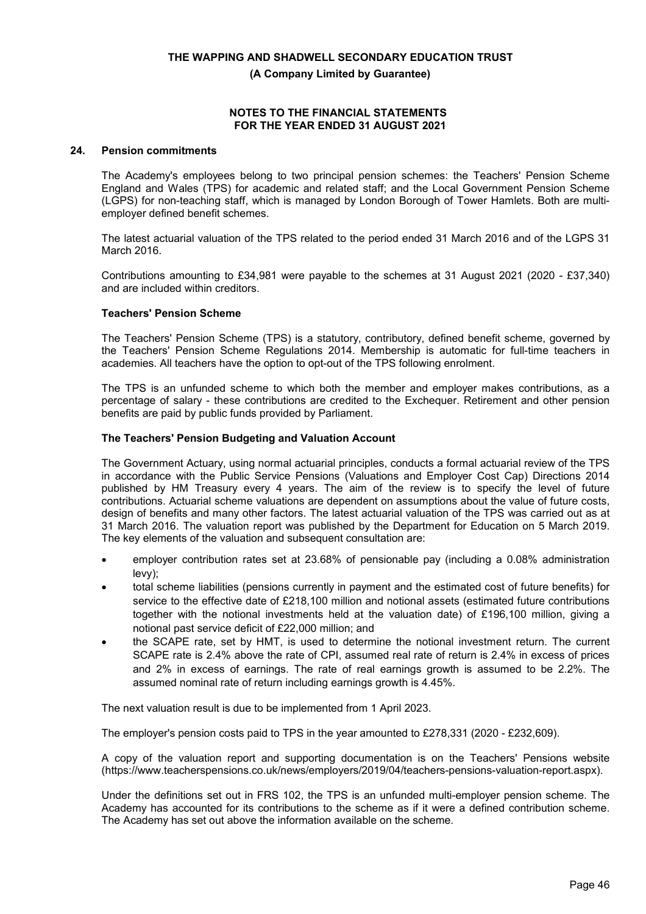**(A Company Limited by Guarantee)**

#### **NOTES TO THE FINANCIAL STATEMENTS FOR THE YEAR ENDED 31 AUGUST 2021**

## **24. Pension commitments**

The Academy's employees belong to two principal pension schemes: the Teachers' Pension Scheme England and Wales (TPS) for academic and related staff; and the Local Government Pension Scheme (LGPS) for non-teaching staff, which is managed by London Borough of Tower Hamlets. Both are multiemployer defined benefit schemes.

The latest actuarial valuation of the TPS related to the period ended 31 March 2016 and of the LGPS 31 March 2016.

Contributions amounting to £34,981 were payable to the schemes at 31 August 2021 (2020 - £37,340) and are included within creditors.

#### **Teachers' Pension Scheme**

The Teachers' Pension Scheme (TPS) is a statutory, contributory, defined benefit scheme, governed by the Teachers' Pension Scheme Regulations 2014. Membership is automatic for full-time teachers in academies. All teachers have the option to opt-out of the TPS following enrolment.

The TPS is an unfunded scheme to which both the member and employer makes contributions, as a percentage of salary - these contributions are credited to the Exchequer. Retirement and other pension benefits are paid by public funds provided by Parliament.

#### **The Teachers' Pension Budgeting and Valuation Account**

The Government Actuary, using normal actuarial principles, conducts a formal actuarial review of the TPS in accordance with the Public Service Pensions (Valuations and Employer Cost Cap) Directions 2014 published by HM Treasury every 4 years. The aim of the review is to specify the level of future contributions. Actuarial scheme valuations are dependent on assumptions about the value of future costs, design of benefits and many other factors. The latest actuarial valuation of the TPS was carried out as at 31 March 2016. The valuation report was published by the Department for Education on 5 March 2019. The key elements of the valuation and subsequent consultation are:

- employer contribution rates set at 23.68% of pensionable pay (including a 0.08% administration levy);
- total scheme liabilities (pensions currently in payment and the estimated cost of future benefits) for service to the effective date of £218,100 million and notional assets (estimated future contributions together with the notional investments held at the valuation date) of £196,100 million, giving a notional past service deficit of £22,000 million; and
- the SCAPE rate, set by HMT, is used to determine the notional investment return. The current SCAPE rate is 2.4% above the rate of CPI, assumed real rate of return is 2.4% in excess of prices and 2% in excess of earnings. The rate of real earnings growth is assumed to be 2.2%. The assumed nominal rate of return including earnings growth is 4.45%.

The next valuation result is due to be implemented from 1 April 2023.

The employer's pension costs paid to TPS in the year amounted to £278,331 (2020 - £232,609).

A copy of the valuation report and supporting documentation is on the Teachers' Pensions website (https://www.teacherspensions.co.uk/news/employers/2019/04/teachers-pensions-valuation-report.aspx).

Under the definitions set out in FRS 102, the TPS is an unfunded multi-employer pension scheme. The Academy has accounted for its contributions to the scheme as if it were a defined contribution scheme. The Academy has set out above the information available on the scheme.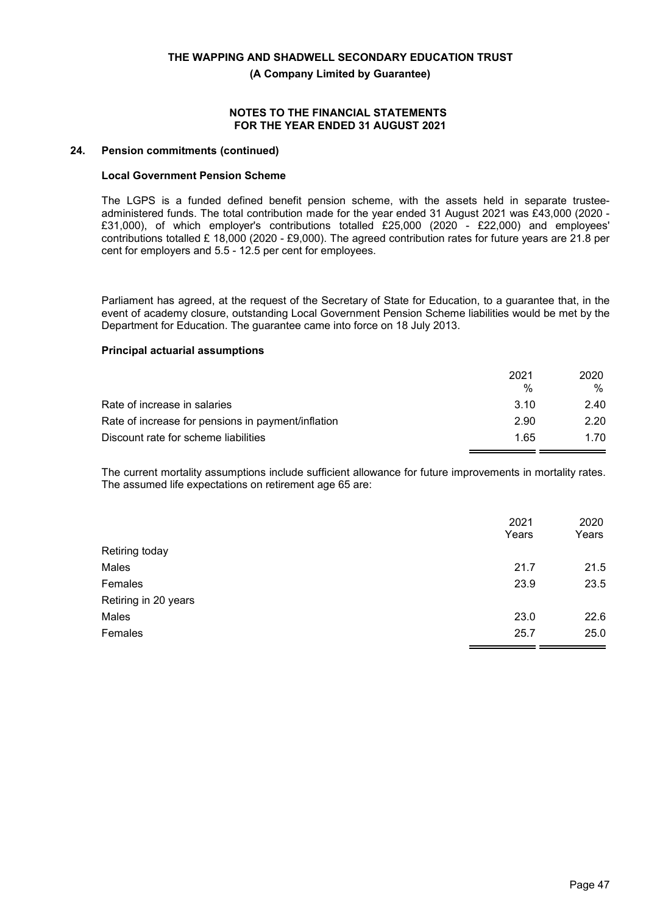**(A Company Limited by Guarantee)**

#### **NOTES TO THE FINANCIAL STATEMENTS FOR THE YEAR ENDED 31 AUGUST 2021**

#### **24. Pension commitments (continued)**

#### **Local Government Pension Scheme**

The LGPS is a funded defined benefit pension scheme, with the assets held in separate trusteeadministered funds. The total contribution made for the year ended 31 August 2021 was £43,000 (2020 - £31,000), of which employer's contributions totalled £25,000 (2020 - £22,000) and employees' contributions totalled £ 18,000 (2020 - £9,000). The agreed contribution rates for future years are 21.8 per cent for employers and 5.5 - 12.5 per cent for employees.

Parliament has agreed, at the request of the Secretary of State for Education, to a guarantee that, in the event of academy closure, outstanding Local Government Pension Scheme liabilities would be met by the Department for Education. The guarantee came into force on 18 July 2013.

#### **Principal actuarial assumptions**

|                                                    | 2021 | 2020 |
|----------------------------------------------------|------|------|
|                                                    | %    | %    |
| Rate of increase in salaries                       | 3.10 | 2.40 |
| Rate of increase for pensions in payment/inflation | 2.90 | 2.20 |
| Discount rate for scheme liabilities               | 1.65 | 1.70 |

The current mortality assumptions include sufficient allowance for future improvements in mortality rates. The assumed life expectations on retirement age 65 are:

|                      | 2021<br>Years | 2020<br>Years |
|----------------------|---------------|---------------|
| Retiring today       |               |               |
| Males                | 21.7          | 21.5          |
| Females              | 23.9          | 23.5          |
| Retiring in 20 years |               |               |
| Males                | 23.0          | 22.6          |
| Females              | 25.7          | 25.0          |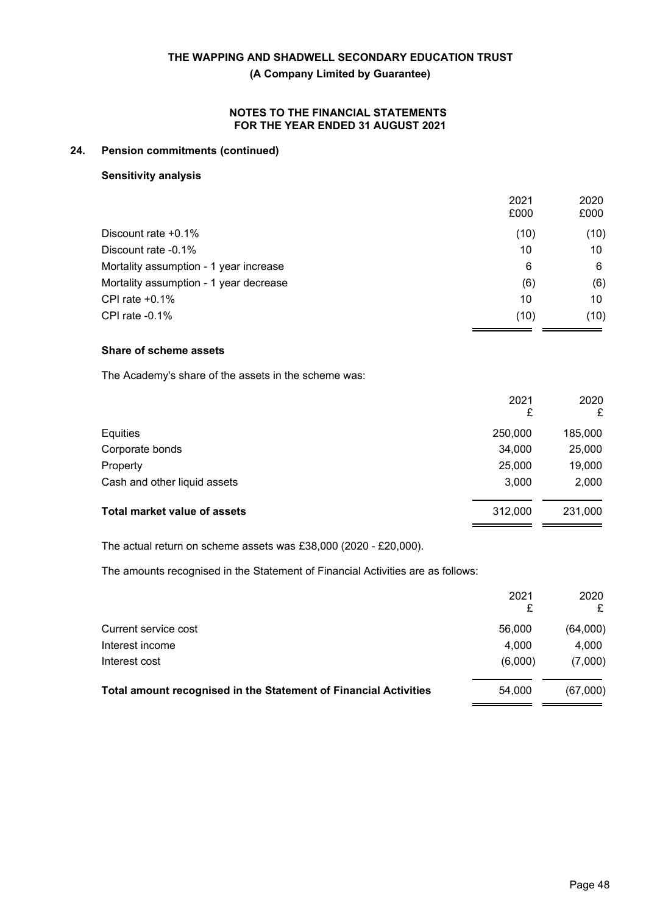**(A Company Limited by Guarantee)**

### **NOTES TO THE FINANCIAL STATEMENTS FOR THE YEAR ENDED 31 AUGUST 2021**

## **24. Pension commitments (continued)**

#### **Sensitivity analysis**

|                                        | 2021<br>£000 | 2020<br>£000 |
|----------------------------------------|--------------|--------------|
| Discount rate $+0.1\%$                 | (10)         | (10)         |
| Discount rate -0.1%                    | 10           | 10           |
| Mortality assumption - 1 year increase | 6            | 6            |
| Mortality assumption - 1 year decrease | (6)          | (6)          |
| CPI rate $+0.1\%$                      | 10           | 10           |
| CPI rate -0.1%                         | (10)         | (10)         |

## **Share of scheme assets**

The Academy's share of the assets in the scheme was:

|                                     | 2021<br>£ | 2020<br>£ |
|-------------------------------------|-----------|-----------|
| Equities                            | 250,000   | 185,000   |
| Corporate bonds                     | 34,000    | 25,000    |
| Property                            | 25,000    | 19,000    |
| Cash and other liquid assets        | 3,000     | 2,000     |
| <b>Total market value of assets</b> | 312,000   | 231,000   |

The actual return on scheme assets was £38,000 (2020 - £20,000).

The amounts recognised in the Statement of Financial Activities are as follows:

|                                                                  | 2021    | 2020<br>£ |
|------------------------------------------------------------------|---------|-----------|
| Current service cost                                             | 56,000  | (64,000)  |
| Interest income                                                  | 4,000   | 4,000     |
| Interest cost                                                    | (6,000) | (7,000)   |
| Total amount recognised in the Statement of Financial Activities | 54.000  | (67,000)  |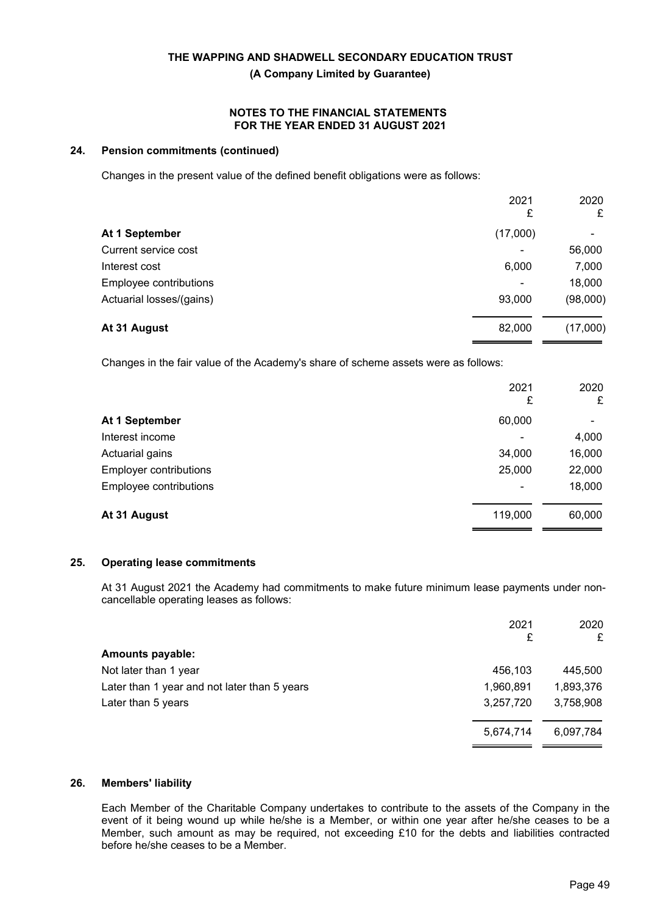**(A Company Limited by Guarantee)**

#### **NOTES TO THE FINANCIAL STATEMENTS FOR THE YEAR ENDED 31 AUGUST 2021**

## **24. Pension commitments (continued)**

Changes in the present value of the defined benefit obligations were as follows:

|                          | 2021<br>£                | 2020<br>£ |
|--------------------------|--------------------------|-----------|
| At 1 September           | (17,000)                 |           |
| Current service cost     | $\blacksquare$           | 56,000    |
| Interest cost            | 6,000                    | 7,000     |
| Employee contributions   | $\overline{\phantom{a}}$ | 18,000    |
| Actuarial losses/(gains) | 93,000                   | (98,000)  |
| At 31 August             | 82,000                   | (17,000)  |

Changes in the fair value of the Academy's share of scheme assets were as follows:

|                               | 2021<br>£                | 2020<br>£ |
|-------------------------------|--------------------------|-----------|
| At 1 September                | 60,000                   |           |
| Interest income               | ٠                        | 4,000     |
| Actuarial gains               | 34,000                   | 16,000    |
| <b>Employer contributions</b> | 25,000                   | 22,000    |
| Employee contributions        | $\overline{\phantom{a}}$ | 18,000    |
| At 31 August                  | 119,000                  | 60,000    |

## **25. Operating lease commitments**

At 31 August 2021 the Academy had commitments to make future minimum lease payments under noncancellable operating leases as follows:

|                                              | 2021<br>£ | 2020<br>£ |
|----------------------------------------------|-----------|-----------|
| <b>Amounts payable:</b>                      |           |           |
| Not later than 1 year                        | 456,103   | 445,500   |
| Later than 1 year and not later than 5 years | 1,960,891 | 1,893,376 |
| Later than 5 years                           | 3,257,720 | 3,758,908 |
|                                              | 5,674,714 | 6,097,784 |

#### **26. Members' liability**

Each Member of the Charitable Company undertakes to contribute to the assets of the Company in the event of it being wound up while he/she is a Member, or within one year after he/she ceases to be a Member, such amount as may be required, not exceeding £10 for the debts and liabilities contracted before he/she ceases to be a Member.